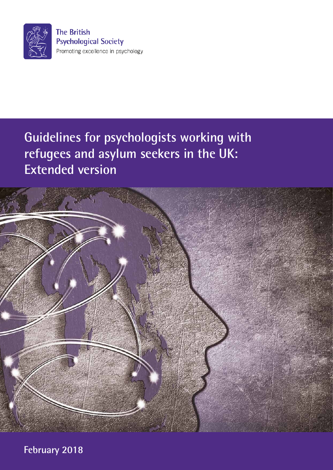

# **Guidelines for psychologists working with refugees and asylum seekers in the UK: Extended version**



**February 2018**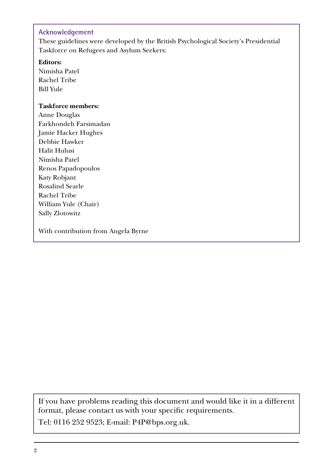#### **Acknowledgement**

These guidelines were developed by the British Psychological Society's Presidential Taskforce on Refugees and Asylum Seekers:

**Editors:**

Nimisha Patel Rachel Tribe Bill Yule

#### **Taskforce members:**

Anne Douglas Farkhondeh Farsimadan Jamie Hacker Hughes Debbie Hawker Halit Hulusi Nimisha Patel Renos Papadopoulos Katy Robjant Rosalind Searle Rachel Tribe William Yule (Chair) Sally Zlotowitz

With contribution from Angela Byrne

If you have problems reading this document and would like it in a different format, please contact us with your specific requirements.

Tel: 0116 252 9523; E-mail: P4P@bps.org.uk.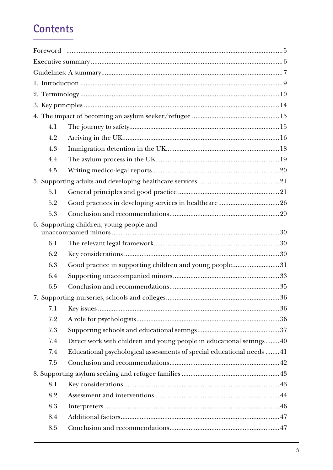# **Contents**

| 4.1 |                                                                        |  |
|-----|------------------------------------------------------------------------|--|
| 4.2 |                                                                        |  |
| 4.3 |                                                                        |  |
| 4.4 |                                                                        |  |
| 4.5 |                                                                        |  |
|     |                                                                        |  |
| 5.1 |                                                                        |  |
| 5.2 |                                                                        |  |
| 5.3 |                                                                        |  |
|     | 6. Supporting children, young people and                               |  |
| 6.1 |                                                                        |  |
| 6.2 |                                                                        |  |
| 6.3 | Good practice in supporting children and young people31                |  |
| 6.4 |                                                                        |  |
| 6.5 |                                                                        |  |
|     |                                                                        |  |
| 7.1 |                                                                        |  |
| 7.2 |                                                                        |  |
| 7.3 |                                                                        |  |
| 7.4 | Direct work with children and young people in educational settings 40  |  |
| 7.4 | Educational psychological assessments of special educational needs  41 |  |
| 7.5 |                                                                        |  |
|     |                                                                        |  |
| 8.1 |                                                                        |  |
| 8.2 |                                                                        |  |
| 8.3 |                                                                        |  |
| 8.4 |                                                                        |  |
| 8.5 |                                                                        |  |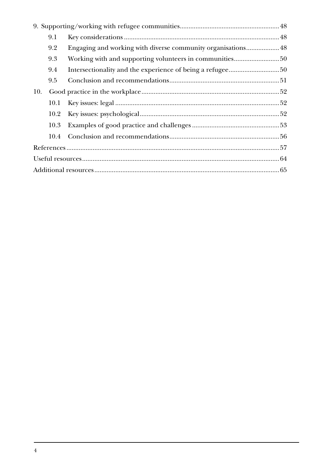|     | 9.1  |                                                         |  |
|-----|------|---------------------------------------------------------|--|
|     | 9.2  |                                                         |  |
|     | 9.3  | Working with and supporting volunteers in communities50 |  |
|     | 9.4  |                                                         |  |
|     | 9.5  |                                                         |  |
| 10. |      |                                                         |  |
|     | 10.1 |                                                         |  |
|     | 10.2 |                                                         |  |
|     | 10.3 |                                                         |  |
|     | 10.4 |                                                         |  |
|     |      |                                                         |  |
|     |      |                                                         |  |
|     |      |                                                         |  |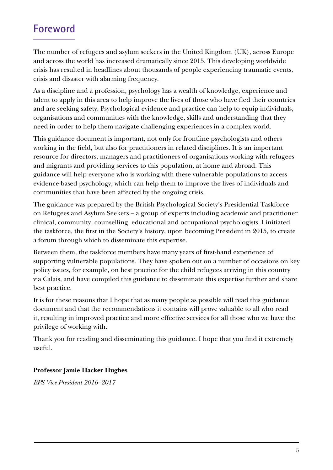# <span id="page-4-0"></span>**Foreword**

The number of refugees and asylum seekers in the United Kingdom (UK), across Europe and across the world has increased dramatically since 2015. This developing worldwide crisis has resulted in headlines about thousands of people experiencing traumatic events, crisis and disaster with alarming frequency.

As a discipline and a profession, psychology has a wealth of knowledge, experience and talent to apply in this area to help improve the lives of those who have fled their countries and are seeking safety. Psychological evidence and practice can help to equip individuals, organisations and communities with the knowledge, skills and understanding that they need in order to help them navigate challenging experiences in a complex world.

This guidance document is important, not only for frontline psychologists and others working in the field, but also for practitioners in related disciplines. It is an important resource for directors, managers and practitioners of organisations working with refugees and migrants and providing services to this population, at home and abroad. This guidance will help everyone who is working with these vulnerable populations to access evidence-based psychology, which can help them to improve the lives of individuals and communities that have been affected by the ongoing crisis.

The guidance was prepared by the British Psychological Society's Presidential Taskforce on Refugees and Asylum Seekers – a group of experts including academic and practitioner clinical, community, counselling, educational and occupational psychologists. I initiated the taskforce, the first in the Society's history, upon becoming President in 2015, to create a forum through which to disseminate this expertise.

Between them, the taskforce members have many years of first-hand experience of supporting vulnerable populations. They have spoken out on a number of occasions on key policy issues, for example, on best practice for the child refugees arriving in this country via Calais, and have compiled this guidance to disseminate this expertise further and share best practice.

It is for these reasons that I hope that as many people as possible will read this guidance document and that the recommendations it contains will prove valuable to all who read it, resulting in improved practice and more effective services for all those who we have the privilege of working with.

Thank you for reading and disseminating this guidance. I hope that you find it extremely useful.

## **Professor Jamie Hacker Hughes**

*BPS Vice President 2016–2017*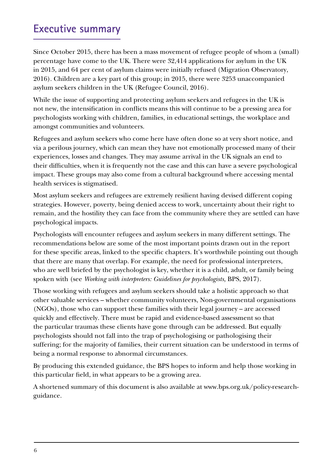# <span id="page-5-0"></span>**Executive summary**

Since October 2015, there has been a mass movement of refugee people of whom a (small) percentage have come to the UK. There were 32,414 applications for asylum in the UK in 2015, and 64 per cent of asylum claims were initially refused (Migration Observatory, 2016). Children are a key part of this group; in 2015, there were 3253 unaccompanied asylum seekers children in the UK (Refugee Council, 2016).

While the issue of supporting and protecting asylum seekers and refugees in the UK is not new, the intensification in conflicts means this will continue to be a pressing area for psychologists working with children, families, in educational settings, the workplace and amongst communities and volunteers.

Refugees and asylum seekers who come here have often done so at very short notice, and via a perilous journey, which can mean they have not emotionally processed many of their experiences, losses and changes. They may assume arrival in the UK signals an end to their difficulties, when it is frequently not the case and this can have a severe psychological impact. These groups may also come from a cultural background where accessing mental health services is stigmatised.

Most asylum seekers and refugees are extremely resilient having devised different coping strategies. However, poverty, being denied access to work, uncertainty about their right to remain, and the hostility they can face from the community where they are settled can have psychological impacts.

Psychologists will encounter refugees and asylum seekers in many different settings. The recommendations below are some of the most important points drawn out in the report for these specific areas, linked to the specific chapters. It's worthwhile pointing out though that there are many that overlap. For example, the need for professional interpreters, who are well briefed by the psychologist is key, whether it is a child, adult, or family being spoken with (see *Working with interpreters: Guidelines for psychologists*, BPS, 2017).

Those working with refugees and asylum seekers should take a holistic approach so that other valuable services – whether community volunteers, Non-governmental organisations (NGOs), those who can support these families with their legal journey – are accessed quickly and effectively. There must be rapid and evidence-based assessment so that the particular traumas these clients have gone through can be addressed. But equally psychologists should not fall into the trap of psychologising or pathologising their suffering; for the majority of families, their current situation can be understood in terms of being a normal response to abnormal circumstances.

By producing this extended guidance, the BPS hopes to inform and help those working in this particular field, in what appears to be a growing area.

A shortened summary of this document is also available at www.bps.org.uk/policy-researchguidance.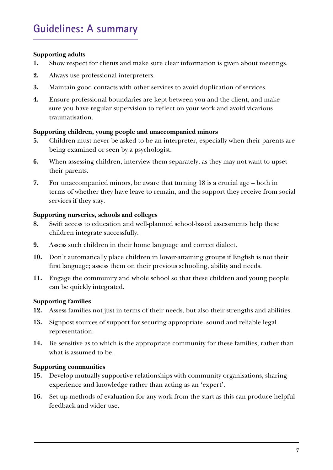#### <span id="page-6-0"></span>**Supporting adults**

- **1.** Show respect for clients and make sure clear information is given about meetings.
- **2.** Always use professional interpreters.
- **3.** Maintain good contacts with other services to avoid duplication of services.
- **4.** Ensure professional boundaries are kept between you and the client, and make sure you have regular supervision to reflect on your work and avoid vicarious traumatisation.

#### **Supporting children, young people and unaccompanied minors**

- **5.** Children must never be asked to be an interpreter, especially when their parents are being examined or seen by a psychologist.
- **6.** When assessing children, interview them separately, as they may not want to upset their parents.
- **7.** For unaccompanied minors, be aware that turning 18 is a crucial age both in terms of whether they have leave to remain, and the support they receive from social services if they stay.

#### **Supporting nurseries, schools and colleges**

- **8.** Swift access to education and well-planned school-based assessments help these children integrate successfully.
- **9.** Assess such children in their home language and correct dialect.
- **10.** Don't automatically place children in lower-attaining groups if English is not their first language; assess them on their previous schooling, ability and needs.
- **11.** Engage the community and whole school so that these children and young people can be quickly integrated.

#### **Supporting families**

- **12.** Assess families not just in terms of their needs, but also their strengths and abilities.
- **13.** Signpost sources of support for securing appropriate, sound and reliable legal representation.
- **14.** Be sensitive as to which is the appropriate community for these families, rather than what is assumed to be.

#### **Supporting communities**

- **15.** Develop mutually supportive relationships with community organisations, sharing experience and knowledge rather than acting as an 'expert'.
- **16.** Set up methods of evaluation for any work from the start as this can produce helpful feedback and wider use.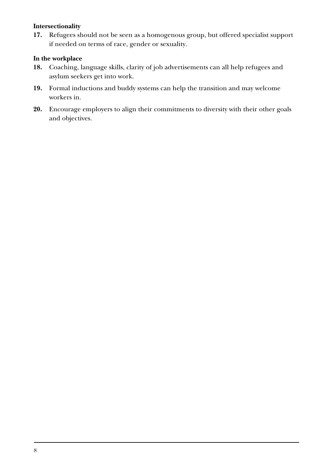#### **Intersectionality**

**17.** Refugees should not be seen as a homogenous group, but offered specialist support if needed on terms of race, gender or sexuality.

#### **In the workplace**

- **18.** Coaching, language skills, clarity of job advertisements can all help refugees and asylum seekers get into work.
- **19.** Formal inductions and buddy systems can help the transition and may welcome workers in.
- **20.** Encourage employers to align their commitments to diversity with their other goals and objectives.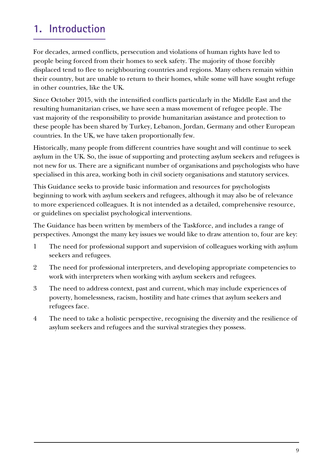# <span id="page-8-0"></span>**1. Introduction**

For decades, armed conflicts, persecution and violations of human rights have led to people being forced from their homes to seek safety. The majority of those forcibly displaced tend to flee to neighbouring countries and regions. Many others remain within their country, but are unable to return to their homes, while some will have sought refuge in other countries, like the UK.

Since October 2015, with the intensified conflicts particularly in the Middle East and the resulting humanitarian crises, we have seen a mass movement of refugee people. The vast majority of the responsibility to provide humanitarian assistance and protection to these people has been shared by Turkey, Lebanon, Jordan, Germany and other European countries. In the UK, we have taken proportionally few.

Historically, many people from different countries have sought and will continue to seek asylum in the UK. So, the issue of supporting and protecting asylum seekers and refugees is not new for us. There are a significant number of organisations and psychologists who have specialised in this area, working both in civil society organisations and statutory services.

This Guidance seeks to provide basic information and resources for psychologists beginning to work with asylum seekers and refugees, although it may also be of relevance to more experienced colleagues. It is not intended as a detailed, comprehensive resource, or guidelines on specialist psychological interventions.

The Guidance has been written by members of the Taskforce, and includes a range of perspectives. Amongst the many key issues we would like to draw attention to, four are key:

- 1 The need for professional support and supervision of colleagues working with asylum seekers and refugees.
- 2 The need for professional interpreters, and developing appropriate competencies to work with interpreters when working with asylum seekers and refugees.
- 3 The need to address context, past and current, which may include experiences of poverty, homelessness, racism, hostility and hate crimes that asylum seekers and refugees face.
- 4 The need to take a holistic perspective, recognising the diversity and the resilience of asylum seekers and refugees and the survival strategies they possess.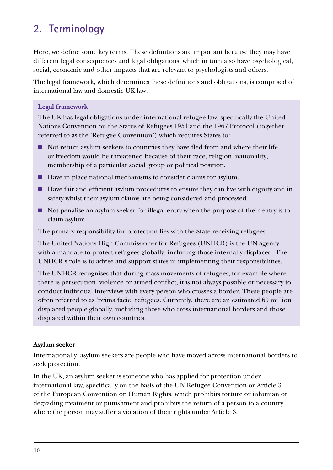# <span id="page-9-0"></span>**2. Terminology**

Here, we define some key terms. These definitions are important because they may have different legal consequences and legal obligations, which in turn also have psychological, social, economic and other impacts that are relevant to psychologists and others.

The legal framework, which determines these definitions and obligations, is comprised of international law and domestic UK law.

#### **Legal framework**

The UK has legal obligations under international refugee law, specifically the United Nations Convention on the Status of Refugees 1951 and the 1967 Protocol (together referred to as the 'Refugee Convention') which requires States to:

- Not return asylum seekers to countries they have fled from and where their life or freedom would be threatened because of their race, religion, nationality, membership of a particular social group or political position.
- Have in place national mechanisms to consider claims for asylum.
- Have fair and efficient asylum procedures to ensure they can live with dignity and in safety whilst their asylum claims are being considered and processed.
- Not penalise an asylum seeker for illegal entry when the purpose of their entry is to claim asylum.

The primary responsibility for protection lies with the State receiving refugees.

The United Nations High Commissioner for Refugees (UNHCR) is the UN agency with a mandate to protect refugees globally, including those internally displaced. The UNHCR's role is to advise and support states in implementing their responsibilities.

The UNHCR recognises that during mass movements of refugees, for example where there is persecution, violence or armed conflict, it is not always possible or necessary to conduct individual interviews with every person who crosses a border. These people are often referred to as 'prima facie' refugees. Currently, there are an estimated 60 million displaced people globally, including those who cross international borders and those displaced within their own countries.

#### **Asylum seeker**

Internationally, asylum seekers are people who have moved across international borders to seek protection.

In the UK, an asylum seeker is someone who has applied for protection under international law, specifically on the basis of the UN Refugee Convention or Article 3 of the European Convention on Human Rights, which prohibits torture or inhuman or degrading treatment or punishment and prohibits the return of a person to a country where the person may suffer a violation of their rights under Article 3.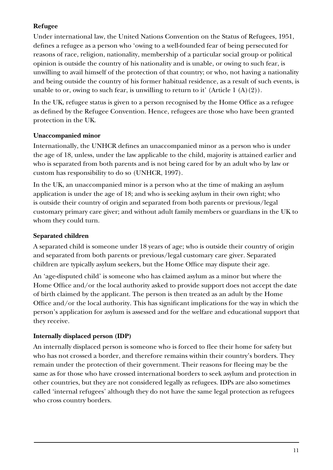## **Refugee**

Under international law, the United Nations Convention on the Status of Refugees, 1951, defines a refugee as a person who 'owing to a well-founded fear of being persecuted for reasons of race, religion, nationality, membership of a particular social group or political opinion is outside the country of his nationality and is unable, or owing to such fear, is unwilling to avail himself of the protection of that country; or who, not having a nationality and being outside the country of his former habitual residence, as a result of such events, is unable to or, owing to such fear, is unwilling to return to it' (Article 1  $(A)(2)$ ).

In the UK, refugee status is given to a person recognised by the Home Office as a refugee as defined by the Refugee Convention. Hence, refugees are those who have been granted protection in the UK.

### **Unaccompanied minor**

Internationally, the UNHCR defines an unaccompanied minor as a person who is under the age of 18, unless, under the law applicable to the child, majority is attained earlier and who is separated from both parents and is not being cared for by an adult who by law or custom has responsibility to do so (UNHCR, 1997).

In the UK, an unaccompanied minor is a person who at the time of making an asylum application is under the age of 18; and who is seeking asylum in their own right; who is outside their country of origin and separated from both parents or previous/legal customary primary care giver; and without adult family members or guardians in the UK to whom they could turn.

### **Separated children**

A separated child is someone under 18 years of age; who is outside their country of origin and separated from both parents or previous/legal customary care giver. Separated children are typically asylum seekers, but the Home Office may dispute their age.

An 'age-disputed child' is someone who has claimed asylum as a minor but where the Home Office and/or the local authority asked to provide support does not accept the date of birth claimed by the applicant. The person is then treated as an adult by the Home Office and/or the local authority. This has significant implications for the way in which the person's application for asylum is assessed and for the welfare and educational support that they receive.

## **Internally displaced person (IDP)**

An internally displaced person is someone who is forced to flee their home for safety but who has not crossed a border, and therefore remains within their country's borders. They remain under the protection of their government. Their reasons for fleeing may be the same as for those who have crossed international borders to seek asylum and protection in other countries, but they are not considered legally as refugees. IDPs are also sometimes called 'internal refugees' although they do not have the same legal protection as refugees who cross country borders.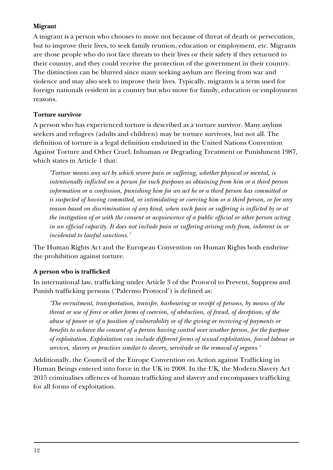### **Migrant**

A migrant is a person who chooses to move not because of threat of death or persecution, but to improve their lives, to seek family reunion, education or employment, etc. Migrants are those people who do not face threats to their lives or their safety if they returned to their country, and they could receive the protection of the government in their country. The distinction can be blurred since many seeking asylum are fleeing from war and violence and may also seek to improve their lives. Typically, migrants is a term used for foreign nationals resident in a country but who move for family, education or employment reasons.

### **Torture survivor**

A person who has experienced torture is described as a torture survivor. Many asylum seekers and refugees (adults and children) may be torture survivors, but not all. The definition of torture is a legal definition enshrined in the United Nations Convention Against Torture and Other Cruel, Inhuman or Degrading Treatment or Punishment 1987, which states in Article 1 that:

*'Torture means any act by which severe pain or suffering, whether physical or mental, is intentionally inflicted on a person for such purposes as obtaining from him or a third person information or a confession, punishing him for an act he or a third person has committed or is suspected of having committed, or intimidating or coercing him or a third person, or for any reason based on discrimination of any kind, when such pain or suffering is inflicted by or at the instigation of or with the consent or acquiescence of a public official or other person acting in an official capacity. It does not include pain or suffering arising only from, inherent in or incidental to lawful sanctions.'*

The Human Rights Act and the European Convention on Human Rights both enshrine the prohibition against torture.

### **A person who is trafficked**

In international law, trafficking under Article 3 of the Protocol to Prevent, Suppress and Punish trafficking persons ('Palermo Protocol') is defined as:

*'The recruitment, transportation, transfer, harbouring or receipt of persons, by means of the threat or use of force or other forms of coercion, of abduction, of fraud, of deception, of the abuse of power or of a position of vulnerability or of the giving or receiving of payments or benefits to achieve the consent of a person having control over another person, for the purpose of exploitation. Exploitation can include different forms of sexual exploitation, forced labour or services, slavery or practices similar to slavery, servitude or the removal of organs.'*

Additionally, the Council of the Europe Convention on Action against Trafficking in Human Beings entered into force in the UK in 2008. In the UK, the Modern Slavery Act 2015 criminalises offences of human trafficking and slavery and encompasses trafficking for all forms of exploitation.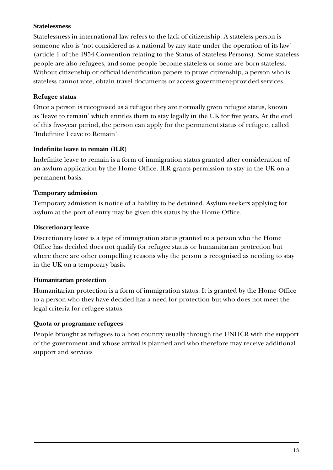#### **Statelessness**

Statelessness in international law refers to the lack of citizenship. A stateless person is someone who is 'not considered as a national by any state under the operation of its law' (article 1 of the 1954 Convention relating to the Status of Stateless Persons). Some stateless people are also refugees, and some people become stateless or some are born stateless. Without citizenship or official identification papers to prove citizenship, a person who is stateless cannot vote, obtain travel documents or access government-provided services.

### **Refugee status**

Once a person is recognised as a refugee they are normally given refugee status, known as 'leave to remain' which entitles them to stay legally in the UK for five years. At the end of this five-year period, the person can apply for the permanent status of refugee, called 'Indefinite Leave to Remain'.

#### **Indefinite leave to remain (ILR)**

Indefinite leave to remain is a form of immigration status granted after consideration of an asylum application by the Home Office. ILR grants permission to stay in the UK on a permanent basis.

### **Temporary admission**

Temporary admission is notice of a liability to be detained. Asylum seekers applying for asylum at the port of entry may be given this status by the Home Office.

#### **Discretionary leave**

Discretionary leave is a type of immigration status granted to a person who the Home Office has decided does not qualify for refugee status or humanitarian protection but where there are other compelling reasons why the person is recognised as needing to stay in the UK on a temporary basis.

### **Humanitarian protection**

Humanitarian protection is a form of immigration status. It is granted by the Home Office to a person who they have decided has a need for protection but who does not meet the legal criteria for refugee status.

### **Quota or programme refugees**

People brought as refugees to a host country usually through the UNHCR with the support of the government and whose arrival is planned and who therefore may receive additional support and services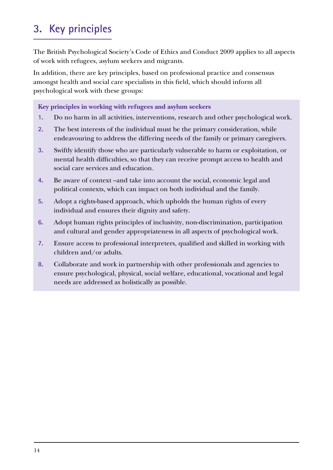# <span id="page-13-0"></span>**3. Key principles**

The British Psychological Society's Code of Ethics and Conduct 2009 applies to all aspects of work with refugees, asylum seekers and migrants.

In addition, there are key principles, based on professional practice and consensus amongst health and social care specialists in this field, which should inform all psychological work with these groups:

**Key principles in working with refugees and asylum seekers** 

- **1.** Do no harm in all activities, interventions, research and other psychological work.
- **2.** The best interests of the individual must be the primary consideration, while endeavouring to address the differing needs of the family or primary caregivers.
- **3.** Swiftly identify those who are particularly vulnerable to harm or exploitation, or mental health difficulties, so that they can receive prompt access to health and social care services and education.
- **4.** Be aware of context –and take into account the social, economic legal and political contexts, which can impact on both individual and the family.
- **5.** Adopt a rights-based approach, which upholds the human rights of every individual and ensures their dignity and safety.
- **6.** Adopt human rights principles of inclusivity, non-discrimination, participation and cultural and gender appropriateness in all aspects of psychological work.
- **7.** Ensure access to professional interpreters, qualified and skilled in working with children and/or adults.
- **8.** Collaborate and work in partnership with other professionals and agencies to ensure psychological, physical, social welfare, educational, vocational and legal needs are addressed as holistically as possible.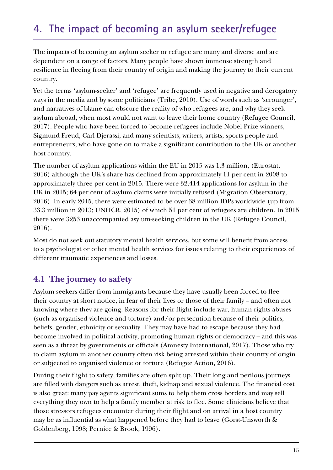# <span id="page-14-0"></span>**4. The impact of becoming an asylum seeker/refugee**

The impacts of becoming an asylum seeker or refugee are many and diverse and are dependent on a range of factors. Many people have shown immense strength and resilience in fleeing from their country of origin and making the journey to their current country.

Yet the terms 'asylum-seeker' and 'refugee' are frequently used in negative and derogatory ways in the media and by some politicians (Tribe, 2010). Use of words such as 'scrounger', and narratives of blame can obscure the reality of who refugees are, and why they seek asylum abroad, when most would not want to leave their home country (Refugee Council, 2017). People who have been forced to become refugees include Nobel Prize winners, Sigmund Freud, Carl Djerassi, and many scientists, writers, artists, sports people and entrepreneurs, who have gone on to make a significant contribution to the UK or another host country.

The number of asylum applications within the EU in 2015 was 1.3 million, (Eurostat, 2016) although the UK's share has declined from approximately 11 per cent in 2008 to approximately three per cent in 2015. There were 32,414 applications for asylum in the UK in 2015; 64 per cent of asylum claims were initially refused (Migration Observatory, 2016). In early 2015, there were estimated to be over 38 million IDPs worldwide (up from 33.3 million in 2013; UNHCR, 2015) of which 51 per cent of refugees are children. In 2015 there were 3253 unaccompanied asylum-seeking children in the UK (Refugee Council, 2016).

Most do not seek out statutory mental health services, but some will benefit from access to a psychologist or other mental health services for issues relating to their experiences of different traumatic experiences and losses.

# **4.1 The journey to safety**

Asylum seekers differ from immigrants because they have usually been forced to flee their country at short notice, in fear of their lives or those of their family – and often not knowing where they are going. Reasons for their flight include war, human rights abuses (such as organised violence and torture) and/or persecution because of their politics, beliefs, gender, ethnicity or sexuality. They may have had to escape because they had become involved in political activity, promoting human rights or democracy – and this was seen as a threat by governments or officials (Amnesty International, 2017). Those who try to claim asylum in another country often risk being arrested within their country of origin or subjected to organised violence or torture (Refugee Action, 2016).

During their flight to safety, families are often split up. Their long and perilous journeys are filled with dangers such as arrest, theft, kidnap and sexual violence. The financial cost is also great: many pay agents significant sums to help them cross borders and may sell everything they own to help a family member at risk to flee. Some clinicians believe that those stressors refugees encounter during their flight and on arrival in a host country may be as influential as what happened before they had to leave (Gorst-Unsworth & Goldenberg, 1998; Pernice & Brook, 1996).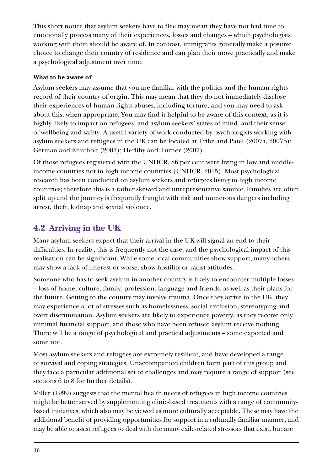<span id="page-15-0"></span>This short notice that asylum seekers have to flee may mean they have not had time to emotionally process many of their experiences, losses and changes – which psychologists working with them should be aware of. In contrast, immigrants generally make a positive choice to change their country of residence and can plan their move practically and make a psychological adjustment over time.

### **What to be aware of**

Asylum seekers may assume that you are familiar with the politics and the human rights record of their country of origin. This may mean that they do not immediately disclose their experiences of human rights abuses, including torture, and you may need to ask about this, when appropriate. You may find it helpful to be aware of this context, as it is highly likely to impact on refugees' and asylum seekers' states of mind, and their sense of wellbeing and safety. A useful variety of work conducted by psychologists working with asylum seekers and refugees in the UK can be located at Tribe and Patel (2007a, 2007b); German and Ehntholt (2007); Herlihy and Turner (2007).

Of those refugees registered with the UNHCR, 86 per cent were living in low and middleincome countries not in high income countries (UNHCR, 2015). Most psychological research has been conducted on asylum seekers and refugees living in high income countries; therefore this is a rather skewed and unrepresentative sample. Families are often split up and the journey is frequently fraught with risk and numerous dangers including arrest, theft, kidnap and sexual violence.

# **4.2 Arriving in the UK**

Many asylum seekers expect that their arrival in the UK will signal an end to their difficulties. In reality, this is frequently not the case, and the psychological impact of this realisation can be significant. While some local communities show support, many others may show a lack of interest or worse, show hostility or racist attitudes.

Someone who has to seek asylum in another country is likely to encounter multiple losses – loss of home, culture, family, profession, language and friends, as well as their plans for the future. Getting to the country may involve trauma. Once they arrive in the UK, they may experience a lot of stresses such as homelessness, social exclusion, stereotyping and overt discrimination. Asylum seekers are likely to experience poverty, as they receive only minimal financial support, and those who have been refused asylum receive nothing. There will be a range of psychological and practical adjustments – some expected and some not.

Most asylum seekers and refugees are extremely resilient, and have developed a range of survival and coping strategies. Unaccompanied children form part of this group and they face a particular additional set of challenges and may require a range of support (see sections 6 to 8 for further details).

Miller (1999) suggests that the mental health needs of refugees in high income countries might be better served by supplementing clinic-based treatments with a range of communitybased initiatives, which also may be viewed as more culturally acceptable. These may have the additional benefit of providing opportunities for support in a culturally familiar manner, and may be able to assist refugees to deal with the many exile-related stressors that exist, but are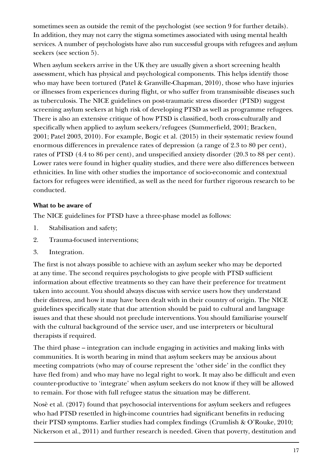sometimes seen as outside the remit of the psychologist (see section 9 for further details). In addition, they may not carry the stigma sometimes associated with using mental health services. A number of psychologists have also run successful groups with refugees and asylum seekers (see section 5).

When asylum seekers arrive in the UK they are usually given a short screening health assessment, which has physical and psychological components. This helps identify those who may have been tortured (Patel & Granville-Chapman, 2010), those who have injuries or illnesses from experiences during flight, or who suffer from transmissible diseases such as tuberculosis. The NICE guidelines on post-traumatic stress disorder (PTSD) suggest screening asylum seekers at high risk of developing PTSD as well as programme refugees. There is also an extensive critique of how PTSD is classified, both cross-culturally and specifically when applied to asylum seekers/refugees (Summerfield, 2001; Bracken, 2001; Patel 2003, 2010). For example, Bogic et al. (2015) in their systematic review found enormous differences in prevalence rates of depression (a range of 2.3 to 80 per cent), rates of PTSD (4.4 to 86 per cent), and unspecified anxiety disorder (20.3 to 88 per cent). Lower rates were found in higher quality studies, and there were also differences between ethnicities. In line with other studies the importance of socio-economic and contextual factors for refugees were identified, as well as the need for further rigorous research to be conducted.

### **What to be aware of**

The NICE guidelines for PTSD have a three-phase model as follows:

- 1. Stabilisation and safety;
- 2. Trauma-focused interventions;
- 3. Integration.

The first is not always possible to achieve with an asylum seeker who may be deported at any time. The second requires psychologists to give people with PTSD sufficient information about effective treatments so they can have their preference for treatment taken into account. You should always discuss with service users how they understand their distress, and how it may have been dealt with in their country of origin. The NICE guidelines specifically state that due attention should be paid to cultural and language issues and that these should not preclude interventions. You should familiarise yourself with the cultural background of the service user, and use interpreters or bicultural therapists if required.

The third phase – integration can include engaging in activities and making links with communities. It is worth bearing in mind that asylum seekers may be anxious about meeting compatriots (who may of course represent the 'other side' in the conflict they have fled from) and who may have no legal right to work. It may also be difficult and even counter-productive to 'integrate' when asylum seekers do not know if they will be allowed to remain. For those with full refugee status the situation may be different.

Nosè et al. (2017) found that psychosocial interventions for asylum seekers and refugees who had PTSD resettled in high-income countries had significant benefits in reducing their PTSD symptoms. Earlier studies had complex findings (Crumlish & O'Rouke, 2010; Nickerson et al., 2011) and further research is needed. Given that poverty, destitution and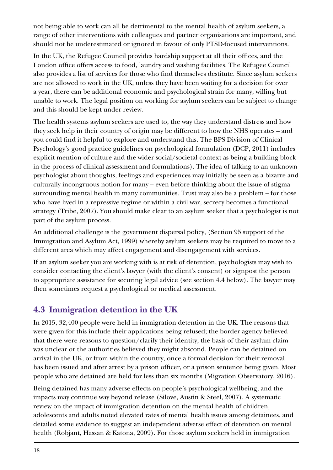<span id="page-17-0"></span>not being able to work can all be detrimental to the mental health of asylum seekers, a range of other interventions with colleagues and partner organisations are important, and should not be underestimated or ignored in favour of only PTSD-focused interventions.

In the UK, the Refugee Council provides hardship support at all their offices, and the London office offers access to food, laundry and washing facilities. The Refugee Council also provides a list of services for those who find themselves destitute. Since asylum seekers are not allowed to work in the UK, unless they have been waiting for a decision for over a year, there can be additional economic and psychological strain for many, willing but unable to work. The legal position on working for asylum seekers can be subject to change and this should be kept under review.

The health systems asylum seekers are used to, the way they understand distress and how they seek help in their country of origin may be different to how the NHS operates – and you could find it helpful to explore and understand this. The BPS Division of Clinical Psychology's good practice guidelines on psychological formulation (DCP, 2011) includes explicit mention of culture and the wider social/societal context as being a building block in the process of clinical assessment and formulations). The idea of talking to an unknown psychologist about thoughts, feelings and experiences may initially be seen as a bizarre and culturally incongruous notion for many – even before thinking about the issue of stigma surrounding mental health in many communities. Trust may also be a problem – for those who have lived in a repressive regime or within a civil war, secrecy becomes a functional strategy (Tribe, 2007). You should make clear to an asylum seeker that a psychologist is not part of the asylum process.

An additional challenge is the government dispersal policy, (Section 95 support of the Immigration and Asylum Act, 1999) whereby asylum seekers may be required to move to a different area which may affect engagement and disengagement with services.

If an asylum seeker you are working with is at risk of detention, psychologists may wish to consider contacting the client's lawyer (with the client's consent) or signpost the person to appropriate assistance for securing legal advice (see section 4.4 below). The lawyer may then sometimes request a psychological or medical assessment.

# **4.3 Immigration detention in the UK**

In 2015, 32,400 people were held in immigration detention in the UK. The reasons that were given for this include their applications being refused; the border agency believed that there were reasons to question/clarify their identity; the basis of their asylum claim was unclear or the authorities believed they might abscond. People can be detained on arrival in the UK, or from within the country, once a formal decision for their removal has been issued and after arrest by a prison officer, or a prison sentence being given. Most people who are detained are held for less than six months (Migration Observatory, 2016).

Being detained has many adverse effects on people's psychological wellbeing, and the impacts may continue way beyond release (Silove, Austin & Steel, 2007). A systematic review on the impact of immigration detention on the mental health of children, adolescents and adults noted elevated rates of mental health issues among detainees, and detailed some evidence to suggest an independent adverse effect of detention on mental health (Robjant, Hassan & Katona, 2009). For those asylum seekers held in immigration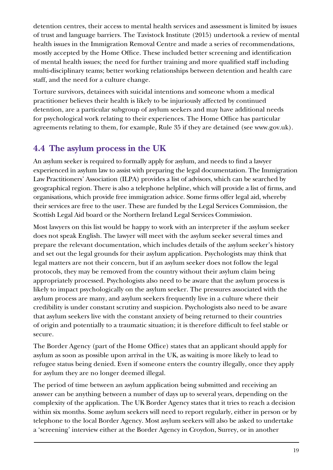<span id="page-18-0"></span>detention centres, their access to mental health services and assessment is limited by issues of trust and language barriers. The Tavistock Institute (2015) undertook a review of mental health issues in the Immigration Removal Centre and made a series of recommendations, mostly accepted by the Home Office. These included better screening and identification of mental health issues; the need for further training and more qualified staff including multi-disciplinary teams; better working relationships between detention and health care staff, and the need for a culture change.

Torture survivors, detainees with suicidal intentions and someone whom a medical practitioner believes their health is likely to be injuriously affected by continued detention, are a particular subgroup of asylum seekers and may have additional needs for psychological work relating to their experiences. The Home Office has particular agreements relating to them, for example, Rule 35 if they are detained (see www.gov.uk).

# **4.4 The asylum process in the UK**

An asylum seeker is required to formally apply for asylum, and needs to find a lawyer experienced in asylum law to assist with preparing the legal documentation. The Immigration Law Practitioners' Association (ILPA) provides a list of advisors, which can be searched by geographical region. There is also a telephone helpline, which will provide a list of firms, and organisations, which provide free immigration advice. Some firms offer legal aid, whereby their services are free to the user. These are funded by the Legal Services Commission, the Scottish Legal Aid board or the Northern Ireland Legal Services Commission.

Most lawyers on this list would be happy to work with an interpreter if the asylum seeker does not speak English. The lawyer will meet with the asylum seeker several times and prepare the relevant documentation, which includes details of the asylum seeker's history and set out the legal grounds for their asylum application. Psychologists may think that legal matters are not their concern, but if an asylum seeker does not follow the legal protocols, they may be removed from the country without their asylum claim being appropriately processed. Psychologists also need to be aware that the asylum process is likely to impact psychologically on the asylum seeker. The pressures associated with the asylum process are many, and asylum seekers frequently live in a culture where their credibility is under constant scrutiny and suspicion. Psychologists also need to be aware that asylum seekers live with the constant anxiety of being returned to their countries of origin and potentially to a traumatic situation; it is therefore difficult to feel stable or secure.

The Border Agency (part of the Home Office) states that an applicant should apply for asylum as soon as possible upon arrival in the UK, as waiting is more likely to lead to refugee status being denied. Even if someone enters the country illegally, once they apply for asylum they are no longer deemed illegal.

The period of time between an asylum application being submitted and receiving an answer can be anything between a number of days up to several years, depending on the complexity of the application. The UK Border Agency states that it tries to reach a decision within six months. Some asylum seekers will need to report regularly, either in person or by telephone to the local Border Agency. Most asylum seekers will also be asked to undertake a 'screening' interview either at the Border Agency in Croydon, Surrey, or in another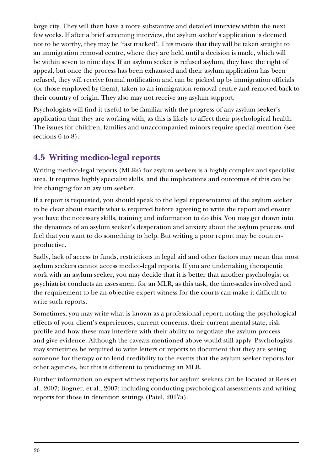<span id="page-19-0"></span>large city. They will then have a more substantive and detailed interview within the next few weeks. If after a brief screening interview, the asylum seeker's application is deemed not to be worthy, they may be 'fast tracked'. This means that they will be taken straight to an immigration removal centre, where they are held until a decision is made, which will be within seven to nine days. If an asylum seeker is refused asylum, they have the right of appeal, but once the process has been exhausted and their asylum application has been refused, they will receive formal notification and can be picked up by immigration officials (or those employed by them), taken to an immigration removal centre and removed back to their country of origin. They also may not receive any asylum support.

Psychologists will find it useful to be familiar with the progress of any asylum seeker's application that they are working with, as this is likely to affect their psychological health. The issues for children, families and unaccompanied minors require special mention (see sections 6 to 8).

# **4.5 Writing medico-legal reports**

Writing medico-legal reports (MLRs) for asylum seekers is a highly complex and specialist area. It requires highly specialist skills, and the implications and outcomes of this can be life changing for an asylum seeker.

If a report is requested, you should speak to the legal representative of the asylum seeker to be clear about exactly what is required before agreeing to write the report and ensure you have the necessary skills, training and information to do this. You may get drawn into the dynamics of an asylum seeker's desperation and anxiety about the asylum process and feel that you want to do something to help. But writing a poor report may be counterproductive.

Sadly, lack of access to funds, restrictions in legal aid and other factors may mean that most asylum seekers cannot access medico-legal reports. If you are undertaking therapeutic work with an asylum seeker, you may decide that it is better that another psychologist or psychiatrist conducts an assessment for an MLR, as this task, the time-scales involved and the requirement to be an objective expert witness for the courts can make it difficult to write such reports.

Sometimes, you may write what is known as a professional report, noting the psychological effects of your client's experiences, current concerns, their current mental state, risk profile and how these may interfere with their ability to negotiate the asylum process and give evidence. Although the caveats mentioned above would still apply. Psychologists may sometimes be required to write letters or reports to document that they are seeing someone for therapy or to lend credibility to the events that the asylum seeker reports for other agencies, but this is different to producing an MLR.

Further information on expert witness reports for asylum seekers can be located at Rees et al., 2007; Bogner, et al., 2007; including conducting psychological assessments and writing reports for those in detention settings (Patel, 2017a).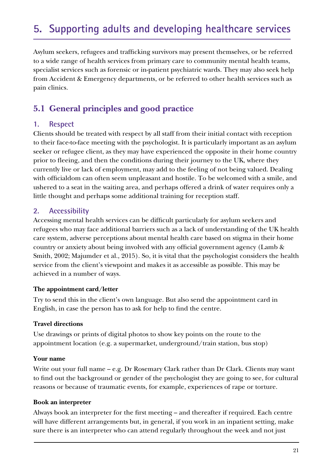# <span id="page-20-0"></span>**5. Supporting adults and developing healthcare services**

Asylum seekers, refugees and trafficking survivors may present themselves, or be referred to a wide range of health services from primary care to community mental health teams, specialist services such as forensic or in-patient psychiatric wards. They may also seek help from Accident & Emergency departments, or be referred to other health services such as pain clinics.

# **5.1 General principles and good practice**

### **1. Respect**

Clients should be treated with respect by all staff from their initial contact with reception to their face-to-face meeting with the psychologist. It is particularly important as an asylum seeker or refugee client, as they may have experienced the opposite in their home country prior to fleeing, and then the conditions during their journey to the UK, where they currently live or lack of employment, may add to the feeling of not being valued. Dealing with officialdom can often seem unpleasant and hostile. To be welcomed with a smile, and ushered to a seat in the waiting area, and perhaps offered a drink of water requires only a little thought and perhaps some additional training for reception staff.

### **2. Accessibility**

Accessing mental health services can be difficult particularly for asylum seekers and refugees who may face additional barriers such as a lack of understanding of the UK health care system, adverse perceptions about mental health care based on stigma in their home country or anxiety about being involved with any official government agency (Lamb & Smith, 2002; Majumder et al., 2015). So, it is vital that the psychologist considers the health service from the client's viewpoint and makes it as accessible as possible. This may be achieved in a number of ways.

#### **The appointment card/letter**

Try to send this in the client's own language. But also send the appointment card in English, in case the person has to ask for help to find the centre.

#### **Travel directions**

Use drawings or prints of digital photos to show key points on the route to the appointment location (e.g. a supermarket, underground/train station, bus stop)

#### **Your name**

Write out your full name – e.g. Dr Rosemary Clark rather than Dr Clark. Clients may want to find out the background or gender of the psychologist they are going to see, for cultural reasons or because of traumatic events, for example, experiences of rape or torture.

#### **Book an interpreter**

Always book an interpreter for the first meeting – and thereafter if required. Each centre will have different arrangements but, in general, if you work in an inpatient setting, make sure there is an interpreter who can attend regularly throughout the week and not just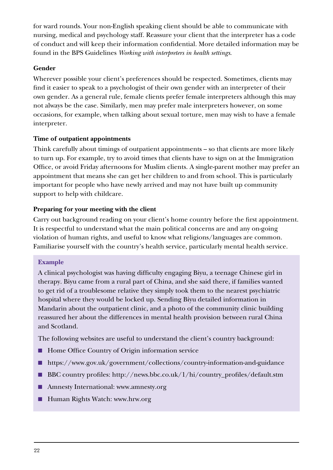for ward rounds. Your non-English speaking client should be able to communicate with nursing, medical and psychology staff. Reassure your client that the interpreter has a code of conduct and will keep their information confidential. More detailed information may be found in the BPS Guidelines *Working with interpreters in health settings*.

### **Gender**

Wherever possible your client's preferences should be respected. Sometimes, clients may find it easier to speak to a psychologist of their own gender with an interpreter of their own gender. As a general rule, female clients prefer female interpreters although this may not always be the case. Similarly, men may prefer male interpreters however, on some occasions, for example, when talking about sexual torture, men may wish to have a female interpreter.

### **Time of outpatient appointments**

Think carefully about timings of outpatient appointments – so that clients are more likely to turn up. For example, try to avoid times that clients have to sign on at the Immigration Office, or avoid Friday afternoons for Muslim clients. A single-parent mother may prefer an appointment that means she can get her children to and from school. This is particularly important for people who have newly arrived and may not have built up community support to help with childcare.

### **Preparing for your meeting with the client**

Carry out background reading on your client's home country before the first appointment. It is respectful to understand what the main political concerns are and any on-going violation of human rights, and useful to know what religions/languages are common. Familiarise yourself with the country's health service, particularly mental health service.

### **Example**

A clinical psychologist was having difficulty engaging Biyu, a teenage Chinese girl in therapy. Biyu came from a rural part of China, and she said there, if families wanted to get rid of a troublesome relative they simply took them to the nearest psychiatric hospital where they would be locked up. Sending Biyu detailed information in Mandarin about the outpatient clinic, and a photo of the community clinic building reassured her about the differences in mental health provision between rural China and Scotland.

The following websites are useful to understand the client's country background:

- Home Office Country of Origin information service
- https://www.gov.uk/government/collections/country-information-and-guidance
- BBC country profiles: http://news.bbc.co.uk/1/hi/country\_profiles/default.stm
- Amnesty International: www.amnesty.org
- Human Rights Watch: www.hrw.org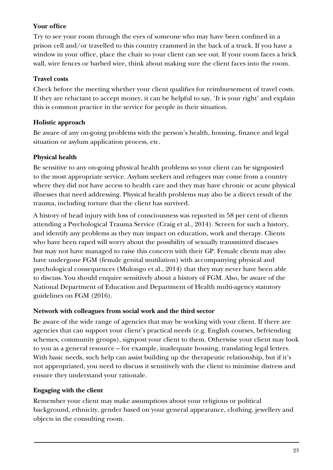### **Your office**

Try to see your room through the eyes of someone who may have been confined in a prison cell and/or travelled to this country crammed in the back of a truck. If you have a window in your office, place the chair so your client can see out. If your room faces a brick wall, wire fences or barbed wire, think about making sure the client faces into the room.

#### **Travel costs**

Check before the meeting whether your client qualifies for reimbursement of travel costs. If they are reluctant to accept money, it can be helpful to say, 'It is your right' and explain this is common practice in the service for people in their situation.

### **Holistic approach**

Be aware of any on-going problems with the person's health, housing, finance and legal situation or asylum application process, etc.

### **Physical health**

Be sensitive to any on-going physical health problems so your client can be signposted to the most appropriate service. Asylum seekers and refugees may come from a country where they did not have access to health care and they may have chronic or acute physical illnesses that need addressing. Physical health problems may also be a direct result of the trauma, including torture that the client has survived.

A history of head injury with loss of consciousness was reported in 58 per cent of clients attending a Psychological Trauma Service (Craig et al., 2014). Screen for such a history, and identify any problems as they may impact on education, work and therapy. Clients who have been raped will worry about the possibility of sexually transmitted diseases but may not have managed to raise this concern with their GP. Female clients may also have undergone FGM (female genital mutilation) with accompanying physical and psychological consequences (Mulongo et al., 2014) that they may never have been able to discuss. You should enquire sensitively about a history of FGM. Also, be aware of the National Department of Education and Department of Health multi-agency statutory guidelines on FGM (2016).

### **Network with colleagues from social work and the third sector**

Be aware of the wide range of agencies that may be working with your client. If there are agencies that can support your client's practical needs (e.g. English courses, befriending schemes, community groups), signpost your client to them. Otherwise your client may look to you as a general resource – for example, inadequate housing, translating legal letters. With basic needs, such help can assist building up the therapeutic relationship, but if it's not appropriated, you need to discuss it sensitively with the client to minimise distress and ensure they understand your rationale.

## **Engaging with the client**

Remember your client may make assumptions about your religious or political background, ethnicity, gender based on your general appearance, clothing, jewellery and objects in the consulting room.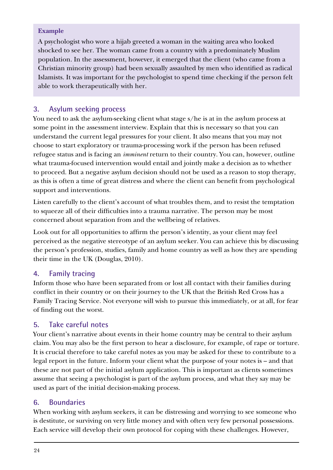### **Example**

A psychologist who wore a hijab greeted a woman in the waiting area who looked shocked to see her. The woman came from a country with a predominately Muslim population. In the assessment, however, it emerged that the client (who came from a Christian minority group) had been sexually assaulted by men who identified as radical Islamists. It was important for the psychologist to spend time checking if the person felt able to work therapeutically with her.

## **3. Asylum seeking process**

You need to ask the asylum-seeking client what stage s/he is at in the asylum process at some point in the assessment interview. Explain that this is necessary so that you can understand the current legal pressures for your client. It also means that you may not choose to start exploratory or trauma-processing work if the person has been refused refugee status and is facing an *imminent* return to their country. You can, however, outline what trauma-focused intervention would entail and jointly make a decision as to whether to proceed. But a negative asylum decision should not be used as a reason to stop therapy, as this is often a time of great distress and where the client can benefit from psychological support and interventions.

Listen carefully to the client's account of what troubles them, and to resist the temptation to squeeze all of their difficulties into a trauma narrative. The person may be most concerned about separation from and the wellbeing of relatives.

Look out for all opportunities to affirm the person's identity, as your client may feel perceived as the negative stereotype of an asylum seeker. You can achieve this by discussing the person's profession, studies, family and home country as well as how they are spending their time in the UK (Douglas, 2010).

## **4. Family tracing**

Inform those who have been separated from or lost all contact with their families during conflict in their country or on their journey to the UK that the British Red Cross has a Family Tracing Service. Not everyone will wish to pursue this immediately, or at all, for fear of finding out the worst.

## **5. Take careful notes**

Your client's narrative about events in their home country may be central to their asylum claim. You may also be the first person to hear a disclosure, for example, of rape or torture. It is crucial therefore to take careful notes as you may be asked for these to contribute to a legal report in the future. Inform your client what the purpose of your notes is – and that these are not part of the initial asylum application. This is important as clients sometimes assume that seeing a psychologist is part of the asylum process, and what they say may be used as part of the initial decision-making process.

## **6. Boundaries**

When working with asylum seekers, it can be distressing and worrying to see someone who is destitute, or surviving on very little money and with often very few personal possessions. Each service will develop their own protocol for coping with these challenges. However,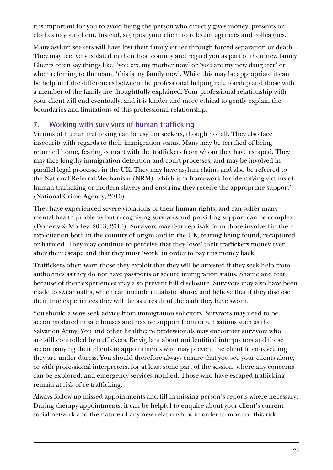it is important for you to avoid being the person who directly gives money, presents or clothes to your client. Instead, signpost your client to relevant agencies and colleagues.

Many asylum seekers will have lost their family either through forced separation or death. They may feel very isolated in their host country and regard you as part of their new family. Clients often say things like: 'you are my mother now' or 'you are my new daughter' or when referring to the team, 'this is my family now'. While this may be appropriate it can be helpful if the differences between the professional helping relationship and those with a member of the family are thoughtfully explained. Your professional relationship with your client will end eventually, and it is kinder and more ethical to gently explain the boundaries and limitations of this professional relationship.

## **7. Working with survivors of human trafficking**

Victims of human trafficking can be asylum seekers, though not all. They also face insecurity with regards to their immigration status. Many may be terrified of being returned home, fearing contact with the traffickers from whom they have escaped. They may face lengthy immigration detention and court processes, and may be involved in parallel legal processes in the UK. They may have asylum claims and also be referred to the National Referral Mechanism (NRM), which is 'a framework for identifying victims of human trafficking or modern slavery and ensuring they receive the appropriate support' (National Crime Agency, 2016).

They have experienced severe violations of their human rights, and can suffer many mental health problems but recognising survivors and providing support can be complex (Doherty & Morley, 2013, 2016). Survivors may fear reprisals from those involved in their exploitation both in the country of origin and in the UK, fearing being found, recaptured or harmed. They may continue to perceive that they 'owe' their traffickers money even after their escape and that they must 'work' in order to pay this money back.

Traffickers often warn those they exploit that they will be arrested if they seek help from authorities as they do not have passports or secure immigration status. Shame and fear because of their experiences may also prevent full disclosure. Survivors may also have been made to swear oaths, which can include ritualistic abuse, and believe that if they disclose their true experiences they will die as a result of the oath they have sworn.

You should always seek advice from immigration solicitors. Survivors may need to be accommodated in safe houses and receive support from organisations such as the Salvation Army. You and other healthcare professionals may encounter survivors who are still controlled by traffickers. Be vigilant about unidentified interpreters and those accompanying their clients to appointments who may prevent the client from revealing they are under duress. You should therefore always ensure that you see your clients alone, or with professional interpreters, for at least some part of the session, where any concerns can be explored, and emergency services notified. Those who have escaped trafficking remain at risk of re-trafficking.

Always follow up missed appointments and fill in missing person's reports where necessary. During therapy appointments, it can be helpful to enquire about your client's current social network and the nature of any new relationships in order to monitor this risk.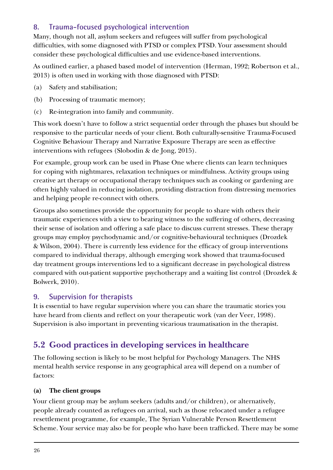## <span id="page-25-0"></span>**8. Trauma-focused psychological intervention**

Many, though not all, asylum seekers and refugees will suffer from psychological difficulties, with some diagnosed with PTSD or complex PTSD. Your assessment should consider these psychological difficulties and use evidence-based interventions.

As outlined earlier, a phased based model of intervention (Herman, 1992; Robertson et al., 2013) is often used in working with those diagnosed with PTSD:

- (a) Safety and stabilisation;
- (b) Processing of traumatic memory;
- (c) Re-integration into family and community.

This work doesn't have to follow a strict sequential order through the phases but should be responsive to the particular needs of your client. Both culturally-sensitive Trauma-Focused Cognitive Behaviour Therapy and Narrative Exposure Therapy are seen as effective interventions with refugees (Slobodin & de Jong, 2015).

For example, group work can be used in Phase One where clients can learn techniques for coping with nightmares, relaxation techniques or mindfulness. Activity groups using creative art therapy or occupational therapy techniques such as cooking or gardening are often highly valued in reducing isolation, providing distraction from distressing memories and helping people re-connect with others.

Groups also sometimes provide the opportunity for people to share with others their traumatic experiences with a view to bearing witness to the suffering of others, decreasing their sense of isolation and offering a safe place to discuss current stresses. These therapy groups may employ psychodynamic and/or cognitive-behavioural techniques (Drozdek & Wilson, 2004). There is currently less evidence for the efficacy of group interventions compared to individual therapy, although emerging work showed that trauma-focused day treatment groups interventions led to a significant decrease in psychological distress compared with out-patient supportive psychotherapy and a waiting list control (Drozdek & Bolwerk, 2010).

## **9. Supervision for therapists**

It is essential to have regular supervision where you can share the traumatic stories you have heard from clients and reflect on your therapeutic work (van der Veer, 1998). Supervision is also important in preventing vicarious traumatisation in the therapist.

# **5.2 Good practices in developing services in healthcare**

The following section is likely to be most helpful for Psychology Managers. The NHS mental health service response in any geographical area will depend on a number of factors:

## **(a) The client groups**

Your client group may be asylum seekers (adults and/or children), or alternatively, people already counted as refugees on arrival, such as those relocated under a refugee resettlement programme, for example, The Syrian Vulnerable Person Resettlement Scheme. Your service may also be for people who have been trafficked. There may be some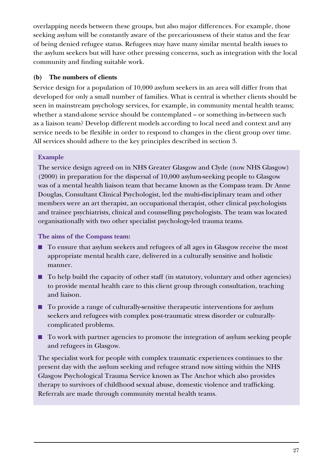overlapping needs between these groups, but also major differences. For example, those seeking asylum will be constantly aware of the precariousness of their status and the fear of being denied refugee status. Refugees may have many similar mental health issues to the asylum seekers but will have other pressing concerns, such as integration with the local community and finding suitable work.

### **(b) The numbers of clients**

Service design for a population of 10,000 asylum seekers in an area will differ from that developed for only a small number of families. What is central is whether clients should be seen in mainstream psychology services, for example, in community mental health teams; whether a stand-alone service should be contemplated – or something in-between such as a liaison team? Develop different models according to local need and context and any service needs to be flexible in order to respond to changes in the client group over time. All services should adhere to the key principles described in section 3.

## **Example**

The service design agreed on in NHS Greater Glasgow and Clyde (now NHS Glasgow) (2000) in preparation for the dispersal of 10,000 asylum-seeking people to Glasgow was of a mental health liaison team that became known as the Compass team. Dr Anne Douglas, Consultant Clinical Psychologist, led the multi-disciplinary team and other members were an art therapist, an occupational therapist, other clinical psychologists and trainee psychiatrists, clinical and counselling psychologists. The team was located organisationally with two other specialist psychology-led trauma teams.

**The aims of the Compass team:** 

- To ensure that asylum seekers and refugees of all ages in Glasgow receive the most appropriate mental health care, delivered in a culturally sensitive and holistic manner.
- To help build the capacity of other staff (in statutory, voluntary and other agencies) to provide mental health care to this client group through consultation, teaching and liaison.
- To provide a range of culturally-sensitive therapeutic interventions for asylum seekers and refugees with complex post-traumatic stress disorder or culturallycomplicated problems.
- To work with partner agencies to promote the integration of asylum seeking people and refugees in Glasgow.

The specialist work for people with complex traumatic experiences continues to the present day with the asylum seeking and refugee strand now sitting within the NHS Glasgow Psychological Trauma Service known as The Anchor which also provides therapy to survivors of childhood sexual abuse, domestic violence and trafficking. Referrals are made through community mental health teams.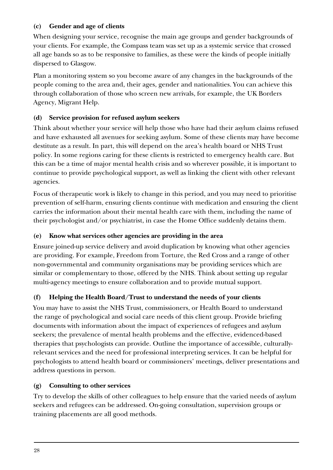### **(c) Gender and age of clients**

When designing your service, recognise the main age groups and gender backgrounds of your clients. For example, the Compass team was set up as a systemic service that crossed all age bands so as to be responsive to families, as these were the kinds of people initially dispersed to Glasgow.

Plan a monitoring system so you become aware of any changes in the backgrounds of the people coming to the area and, their ages, gender and nationalities. You can achieve this through collaboration of those who screen new arrivals, for example, the UK Borders Agency, Migrant Help.

## **(d) Service provision for refused asylum seekers**

Think about whether your service will help those who have had their asylum claims refused and have exhausted all avenues for seeking asylum. Some of these clients may have become destitute as a result. In part, this will depend on the area's health board or NHS Trust policy. In some regions caring for these clients is restricted to emergency health care. But this can be a time of major mental health crisis and so wherever possible, it is important to continue to provide psychological support, as well as linking the client with other relevant agencies.

Focus of therapeutic work is likely to change in this period, and you may need to prioritise prevention of self-harm, ensuring clients continue with medication and ensuring the client carries the information about their mental health care with them, including the name of their psychologist and/or psychiatrist, in case the Home Office suddenly detains them.

## **(e) Know what services other agencies are providing in the area**

Ensure joined-up service delivery and avoid duplication by knowing what other agencies are providing. For example, Freedom from Torture, the Red Cross and a range of other non-governmental and community organisations may be providing services which are similar or complementary to those, offered by the NHS. Think about setting up regular multi-agency meetings to ensure collaboration and to provide mutual support.

## **(f) Helping the Health Board/Trust to understand the needs of your clients**

You may have to assist the NHS Trust, commissioners, or Health Board to understand the range of psychological and social care needs of this client group. Provide briefing documents with information about the impact of experiences of refugees and asylum seekers; the prevalence of mental health problems and the effective, evidenced-based therapies that psychologists can provide. Outline the importance of accessible, culturallyrelevant services and the need for professional interpreting services. It can be helpful for psychologists to attend health board or commissioners' meetings, deliver presentations and address questions in person.

## **(g) Consulting to other services**

Try to develop the skills of other colleagues to help ensure that the varied needs of asylum seekers and refugees can be addressed. On-going consultation, supervision groups or training placements are all good methods.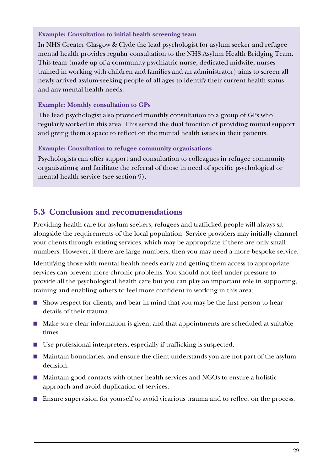#### <span id="page-28-0"></span>**Example: Consultation to initial health screening team**

In NHS Greater Glasgow & Clyde the lead psychologist for asylum seeker and refugee mental health provides regular consultation to the NHS Asylum Health Bridging Team. This team (made up of a community psychiatric nurse, dedicated midwife, nurses trained in working with children and families and an administrator) aims to screen all newly arrived asylum-seeking people of all ages to identify their current health status and any mental health needs.

### **Example: Monthly consultation to GPs**

The lead psychologist also provided monthly consultation to a group of GPs who regularly worked in this area. This served the dual function of providing mutual support and giving them a space to reflect on the mental health issues in their patients.

### **Example: Consultation to refugee community organisations**

Psychologists can offer support and consultation to colleagues in refugee community organisations; and facilitate the referral of those in need of specific psychological or mental health service (see section 9).

# **5.3 Conclusion and recommendations**

Providing health care for asylum seekers, refugees and trafficked people will always sit alongside the requirements of the local population. Service providers may initially channel your clients through existing services, which may be appropriate if there are only small numbers. However, if there are large numbers, then you may need a more bespoke service.

Identifying those with mental health needs early and getting them access to appropriate services can prevent more chronic problems. You should not feel under pressure to provide all the psychological health care but you can play an important role in supporting, training and enabling others to feel more confident in working in this area.

- Show respect for clients, and bear in mind that you may be the first person to hear details of their trauma.
- Make sure clear information is given, and that appointments are scheduled at suitable times.
- Use professional interpreters, especially if trafficking is suspected.
- Maintain boundaries, and ensure the client understands you are not part of the asylum decision.
- Maintain good contacts with other health services and NGOs to ensure a holistic approach and avoid duplication of services.
- Ensure supervision for yourself to avoid vicarious trauma and to reflect on the process.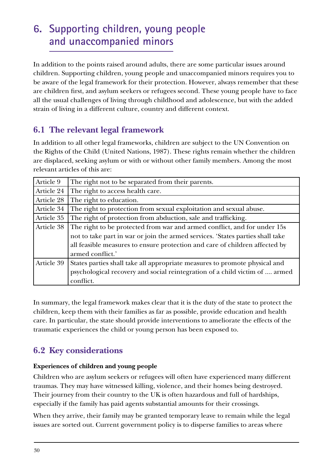# <span id="page-29-0"></span>**6. Supporting children, young people and unaccompanied minors**

In addition to the points raised around adults, there are some particular issues around children. Supporting children, young people and unaccompanied minors requires you to be aware of the legal framework for their protection. However, always remember that these are children first, and asylum seekers or refugees second. These young people have to face all the usual challenges of living through childhood and adolescence, but with the added strain of living in a different culture, country and different context.

# **6.1 The relevant legal framework**

In addition to all other legal frameworks, children are subject to the UN Convention on the Rights of the Child (United Nations, 1987). These rights remain whether the children are displaced, seeking asylum or with or without other family members. Among the most relevant articles of this are:

| Article 9  | The right not to be separated from their parents.                              |
|------------|--------------------------------------------------------------------------------|
| Article 24 | The right to access health care.                                               |
| Article 28 | The right to education.                                                        |
| Article 34 | The right to protection from sexual exploitation and sexual abuse.             |
| Article 35 | The right of protection from abduction, sale and trafficking.                  |
| Article 38 | The right to be protected from war and armed conflict, and for under 15s       |
|            | not to take part in war or join the armed services. 'States parties shall take |
|            | all feasible measures to ensure protection and care of children affected by    |
|            | armed conflict.'                                                               |
| Article 39 | States parties shall take all appropriate measures to promote physical and     |
|            | psychological recovery and social reintegration of a child victim of  armed    |
|            | conflict.                                                                      |

In summary, the legal framework makes clear that it is the duty of the state to protect the children, keep them with their families as far as possible, provide education and health care. In particular, the state should provide interventions to ameliorate the effects of the traumatic experiences the child or young person has been exposed to.

# **6.2 Key considerations**

## **Experiences of children and young people**

Children who are asylum seekers or refugees will often have experienced many different traumas. They may have witnessed killing, violence, and their homes being destroyed. Their journey from their country to the UK is often hazardous and full of hardships, especially if the family has paid agents substantial amounts for their crossings.

When they arrive, their family may be granted temporary leave to remain while the legal issues are sorted out. Current government policy is to disperse families to areas where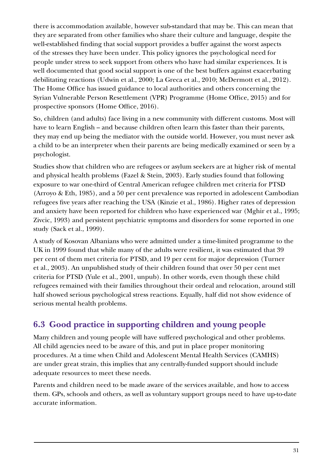<span id="page-30-0"></span>there is accommodation available, however sub-standard that may be. This can mean that they are separated from other families who share their culture and language, despite the well-established finding that social support provides a buffer against the worst aspects of the stresses they have been under. This policy ignores the psychological need for people under stress to seek support from others who have had similar experiences. It is well documented that good social support is one of the best buffers against exacerbating debilitating reactions (Udwin et al., 2000; La Greca et al., 2010; McDermott et al., 2012). The Home Office has issued guidance to local authorities and others concerning the Syrian Vulnerable Person Resettlement (VPR) Programme (Home Office, 2015) and for prospective sponsors (Home Office, 2016).

So, children (and adults) face living in a new community with different customs. Most will have to learn English – and because children often learn this faster than their parents, they may end up being the mediator with the outside world. However, you must never ask a child to be an interpreter when their parents are being medically examined or seen by a psychologist.

Studies show that children who are refugees or asylum seekers are at higher risk of mental and physical health problems (Fazel & Stein, 2003). Early studies found that following exposure to war one-third of Central American refugee children met criteria for PTSD (Arroyo & Eth, 1985), and a 50 per cent prevalence was reported in adolescent Cambodian refugees five years after reaching the USA (Kinzie et al., 1986). Higher rates of depression and anxiety have been reported for children who have experienced war (Mghir et al., 1995; Zivcic, 1993) and persistent psychiatric symptoms and disorders for some reported in one study (Sack et al., 1999).

A study of Kosovan Albanians who were admitted under a time-limited programme to the UK in 1999 found that while many of the adults were resilient, it was estimated that 39 per cent of them met criteria for PTSD, and 19 per cent for major depression (Turner et al., 2003). An unpublished study of their children found that over 50 per cent met criteria for PTSD (Yule et al., 2001, unpub). In other words, even though these child refugees remained with their families throughout their ordeal and relocation, around still half showed serious psychological stress reactions. Equally, half did not show evidence of serious mental health problems.

# **6.3 Good practice in supporting children and young people**

Many children and young people will have suffered psychological and other problems. All child agencies need to be aware of this, and put in place proper monitoring procedures. At a time when Child and Adolescent Mental Health Services (CAMHS) are under great strain, this implies that any centrally-funded support should include adequate resources to meet these needs.

Parents and children need to be made aware of the services available, and how to access them. GPs, schools and others, as well as voluntary support groups need to have up-to-date accurate information.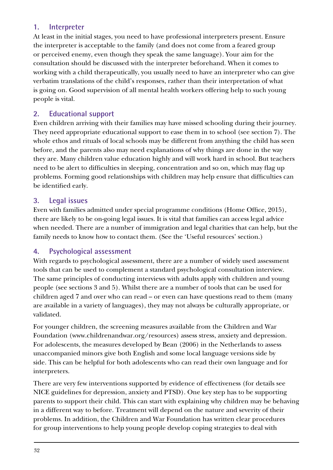## **1. Interpreter**

At least in the initial stages, you need to have professional interpreters present. Ensure the interpreter is acceptable to the family (and does not come from a feared group or perceived enemy, even though they speak the same language). Your aim for the consultation should be discussed with the interpreter beforehand. When it comes to working with a child therapeutically, you usually need to have an interpreter who can give verbatim translations of the child's responses, rather than their interpretation of what is going on. Good supervision of all mental health workers offering help to such young people is vital.

## **2. Educational support**

Even children arriving with their families may have missed schooling during their journey. They need appropriate educational support to ease them in to school (see section 7). The whole ethos and rituals of local schools may be different from anything the child has seen before, and the parents also may need explanations of why things are done in the way they are. Many children value education highly and will work hard in school. But teachers need to be alert to difficulties in sleeping, concentration and so on, which may flag up problems. Forming good relationships with children may help ensure that difficulties can be identified early.

## **3. Legal issues**

Even with families admitted under special programme conditions (Home Office, 2015), there are likely to be on-going legal issues. It is vital that families can access legal advice when needed. There are a number of immigration and legal charities that can help, but the family needs to know how to contact them. (See the 'Useful resources' section.)

## **4. Psychological assessment**

With regards to psychological assessment, there are a number of widely used assessment tools that can be used to complement a standard psychological consultation interview. The same principles of conducting interviews with adults apply with children and young people (see sections 3 and 5). Whilst there are a number of tools that can be used for children aged 7 and over who can read – or even can have questions read to them (many are available in a variety of languages), they may not always be culturally appropriate, or validated.

For younger children, the screening measures available from the Children and War Foundation (www.childrenandwar.org/resources) assess stress, anxiety and depression. For adolescents, the measures developed by Bean (2006) in the Netherlands to assess unaccompanied minors give both English and some local language versions side by side. This can be helpful for both adolescents who can read their own language and for interpreters.

There are very few interventions supported by evidence of effectiveness (for details see NICE guidelines for depression, anxiety and PTSD). One key step has to be supporting parents to support their child. This can start with explaining why children may be behaving in a different way to before. Treatment will depend on the nature and severity of their problems. In addition, the Children and War Foundation has written clear procedures for group interventions to help young people develop coping strategies to deal with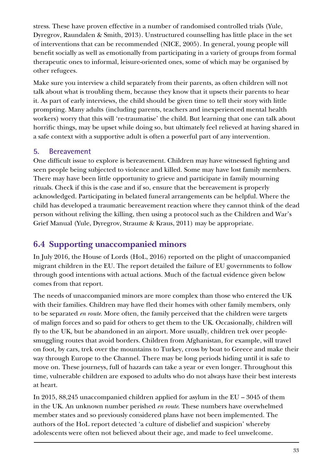<span id="page-32-0"></span>stress. These have proven effective in a number of randomised controlled trials (Yule, Dyregrov, Raundalen & Smith, 2013). Unstructured counselling has little place in the set of interventions that can be recommended (NICE, 2005). In general, young people will benefit socially as well as emotionally from participating in a variety of groups from formal therapeutic ones to informal, leisure-oriented ones, some of which may be organised by other refugees.

Make sure you interview a child separately from their parents, as often children will not talk about what is troubling them, because they know that it upsets their parents to hear it. As part of early interviews, the child should be given time to tell their story with little prompting. Many adults (including parents, teachers and inexperienced mental health workers) worry that this will 're-traumatise' the child. But learning that one can talk about horrific things, may be upset while doing so, but ultimately feel relieved at having shared in a safe context with a supportive adult is often a powerful part of any intervention.

## **5. Bereavement**

One difficult issue to explore is bereavement. Children may have witnessed fighting and seen people being subjected to violence and killed. Some may have lost family members. There may have been little opportunity to grieve and participate in family mourning rituals. Check if this is the case and if so, ensure that the bereavement is properly acknowledged. Participating in belated funeral arrangements can be helpful. Where the child has developed a traumatic bereavement reaction where they cannot think of the dead person without reliving the killing, then using a protocol such as the Children and War's Grief Manual (Yule, Dyregrov, Straume & Kraus, 2011) may be appropriate.

# **6.4 Supporting unaccompanied minors**

In July 2016, the House of Lords (HoL, 2016) reported on the plight of unaccompanied migrant children in the EU. The report detailed the failure of EU governments to follow through good intentions with actual actions. Much of the factual evidence given below comes from that report.

The needs of unaccompanied minors are more complex than those who entered the UK with their families. Children may have fled their homes with other family members, only to be separated *en route*. More often, the family perceived that the children were targets of malign forces and so paid for others to get them to the UK. Occasionally, children will fly to the UK, but be abandoned in an airport. More usually, children trek over peoplesmuggling routes that avoid borders. Children from Afghanistan, for example, will travel on foot, by cars, trek over the mountains to Turkey, cross by boat to Greece and make their way through Europe to the Channel. There may be long periods hiding until it is safe to move on. These journeys, full of hazards can take a year or even longer. Throughout this time, vulnerable children are exposed to adults who do not always have their best interests at heart.

In 2015, 88,245 unaccompanied children applied for asylum in the EU – 3045 of them in the UK. An unknown number perished *en route*. These numbers have overwhelmed member states and so previously considered plans have not been implemented. The authors of the HoL report detected 'a culture of disbelief and suspicion' whereby adolescents were often not believed about their age, and made to feel unwelcome.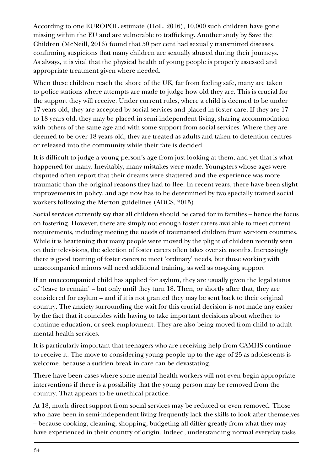According to one EUROPOL estimate (HoL, 2016), 10,000 such children have gone missing within the EU and are vulnerable to trafficking. Another study by Save the Children (McNeill, 2016) found that 50 per cent had sexually transmitted diseases, confirming suspicions that many children are sexually abused during their journeys. As always, it is vital that the physical health of young people is properly assessed and appropriate treatment given where needed.

When these children reach the shore of the UK, far from feeling safe, many are taken to police stations where attempts are made to judge how old they are. This is crucial for the support they will receive. Under current rules, where a child is deemed to be under 17 years old, they are accepted by social services and placed in foster care. If they are 17 to 18 years old, they may be placed in semi-independent living, sharing accommodation with others of the same age and with some support from social services. Where they are deemed to be over 18 years old, they are treated as adults and taken to detention centres or released into the community while their fate is decided.

It is difficult to judge a young person's age from just looking at them, and yet that is what happened for many. Inevitably, many mistakes were made. Youngsters whose ages were disputed often report that their dreams were shattered and the experience was more traumatic than the original reasons they had to flee. In recent years, there have been slight improvements in policy, and age now has to be determined by two specially trained social workers following the Merton guidelines (ADCS, 2015).

Social services currently say that all children should be cared for in families – hence the focus on fostering. However, there are simply not enough foster carers available to meet current requirements, including meeting the needs of traumatised children from war-torn countries. While it is heartening that many people were moved by the plight of children recently seen on their televisions, the selection of foster carers often takes over six months. Increasingly there is good training of foster carers to meet 'ordinary' needs, but those working with unaccompanied minors will need additional training, as well as on-going support

If an unaccompanied child has applied for asylum, they are usually given the legal status of 'leave to remain' – but only until they turn 18. Then, or shortly after that, they are considered for asylum – and if it is not granted they may be sent back to their original country. The anxiety surrounding the wait for this crucial decision is not made any easier by the fact that it coincides with having to take important decisions about whether to continue education, or seek employment. They are also being moved from child to adult mental health services.

It is particularly important that teenagers who are receiving help from CAMHS continue to receive it. The move to considering young people up to the age of 25 as adolescents is welcome, because a sudden break in care can be devastating.

There have been cases where some mental health workers will not even begin appropriate interventions if there is a possibility that the young person may be removed from the country. That appears to be unethical practice.

At 18, much direct support from social services may be reduced or even removed. Those who have been in semi-independent living frequently lack the skills to look after themselves – because cooking, cleaning, shopping, budgeting all differ greatly from what they may have experienced in their country of origin. Indeed, understanding normal everyday tasks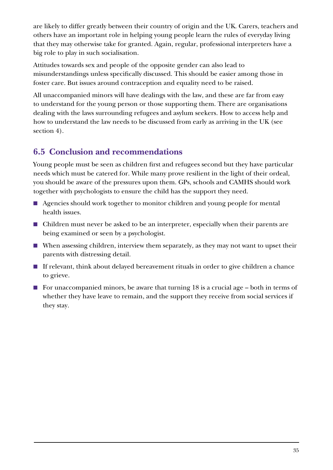<span id="page-34-0"></span>are likely to differ greatly between their country of origin and the UK. Carers, teachers and others have an important role in helping young people learn the rules of everyday living that they may otherwise take for granted. Again, regular, professional interpreters have a big role to play in such socialisation.

Attitudes towards sex and people of the opposite gender can also lead to misunderstandings unless specifically discussed. This should be easier among those in foster care. But issues around contraception and equality need to be raised.

All unaccompanied minors will have dealings with the law, and these are far from easy to understand for the young person or those supporting them. There are organisations dealing with the laws surrounding refugees and asylum seekers. How to access help and how to understand the law needs to be discussed from early as arriving in the UK (see section 4).

# **6.5 Conclusion and recommendations**

Young people must be seen as children first and refugees second but they have particular needs which must be catered for. While many prove resilient in the light of their ordeal, you should be aware of the pressures upon them. GPs, schools and CAMHS should work together with psychologists to ensure the child has the support they need.

- Agencies should work together to monitor children and young people for mental health issues.
- Children must never be asked to be an interpreter, especially when their parents are being examined or seen by a psychologist.
- When assessing children, interview them separately, as they may not want to upset their parents with distressing detail.
- If relevant, think about delayed bereavement rituals in order to give children a chance to grieve.
- For unaccompanied minors, be aware that turning 18 is a crucial age both in terms of whether they have leave to remain, and the support they receive from social services if they stay.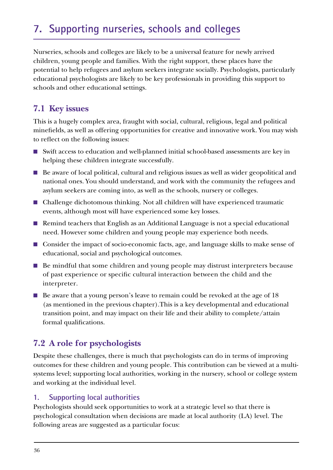# <span id="page-35-0"></span>**7. Supporting nurseries, schools and colleges**

Nurseries, schools and colleges are likely to be a universal feature for newly arrived children, young people and families. With the right support, these places have the potential to help refugees and asylum seekers integrate socially. Psychologists, particularly educational psychologists are likely to be key professionals in providing this support to schools and other educational settings.

# **7.1 Key issues**

This is a hugely complex area, fraught with social, cultural, religious, legal and political minefields, as well as offering opportunities for creative and innovative work. You may wish to reflect on the following issues:

- Swift access to education and well-planned initial school-based assessments are key in helping these children integrate successfully.
- Be aware of local political, cultural and religious issues as well as wider geopolitical and national ones. You should understand, and work with the community the refugees and asylum seekers are coming into, as well as the schools, nursery or colleges.
- Challenge dichotomous thinking. Not all children will have experienced traumatic events, although most will have experienced some key losses.
- Remind teachers that English as an Additional Language is not a special educational need. However some children and young people may experience both needs.
- Consider the impact of socio-economic facts, age, and language skills to make sense of educational, social and psychological outcomes.
- Be mindful that some children and young people may distrust interpreters because of past experience or specific cultural interaction between the child and the interpreter.
- Be aware that a young person's leave to remain could be revoked at the age of 18 (as mentioned in the previous chapter).This is a key developmental and educational transition point, and may impact on their life and their ability to complete/attain formal qualifications.

# **7.2 A role for psychologists**

Despite these challenges, there is much that psychologists can do in terms of improving outcomes for these children and young people. This contribution can be viewed at a multisystems level; supporting local authorities, working in the nursery, school or college system and working at the individual level.

## **1. Supporting local authorities**

Psychologists should seek opportunities to work at a strategic level so that there is psychological consultation when decisions are made at local authority (LA) level. The following areas are suggested as a particular focus: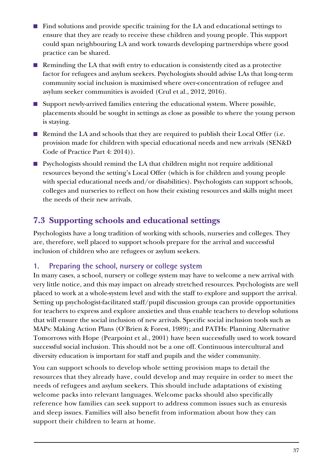- <span id="page-36-0"></span>■ Find solutions and provide specific training for the LA and educational settings to ensure that they are ready to receive these children and young people. This support could span neighbouring LA and work towards developing partnerships where good practice can be shared.
- Reminding the LA that swift entry to education is consistently cited as a protective factor for refugees and asylum seekers. Psychologists should advise LAs that long-term community social inclusion is maximised where over-concentration of refugee and asylum seeker communities is avoided (Crul et al., 2012, 2016).
- Support newly-arrived families entering the educational system. Where possible, placements should be sought in settings as close as possible to where the young person is staying.
- Remind the LA and schools that they are required to publish their Local Offer (i.e. provision made for children with special educational needs and new arrivals (SEN&D Code of Practice Part 4: 2014)).
- Psychologists should remind the LA that children might not require additional resources beyond the setting's Local Offer (which is for children and young people with special educational needs and/or disabilities). Psychologists can support schools, colleges and nurseries to reflect on how their existing resources and skills might meet the needs of their new arrivals.

# **7.3 Supporting schools and educational settings**

Psychologists have a long tradition of working with schools, nurseries and colleges. They are, therefore, well placed to support schools prepare for the arrival and successful inclusion of children who are refugees or asylum seekers.

## **1. Preparing the school, nursery or college system**

In many cases, a school, nursery or college system may have to welcome a new arrival with very little notice, and this may impact on already stretched resources. Psychologists are well placed to work at a whole-system level and with the staff to explore and support the arrival. Setting up psychologist-facilitated staff/pupil discussion groups can provide opportunities for teachers to express and explore anxieties and thus enable teachers to develop solutions that will ensure the social inclusion of new arrivals. Specific social inclusion tools such as MAPs: Making Action Plans (O'Brien & Forest, 1989); and PATHs: Planning Alternative Tomorrows with Hope (Pearpoint et al., 2001) have been successfully used to work toward successful social inclusion. This should not be a one off. Continuous intercultural and diversity education is important for staff and pupils and the wider community.

You can support schools to develop whole setting provision maps to detail the resources that they already have, could develop and may require in order to meet the needs of refugees and asylum seekers. This should include adaptations of existing welcome packs into relevant languages. Welcome packs should also specifically reference how families can seek support to address common issues such as enuresis and sleep issues. Families will also benefit from information about how they can support their children to learn at home.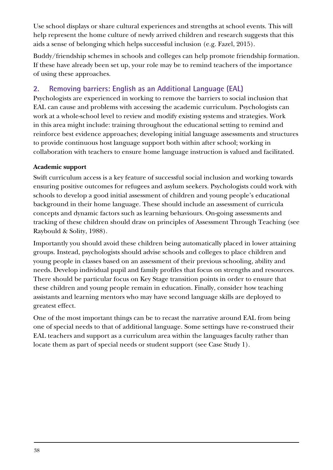Use school displays or share cultural experiences and strengths at school events. This will help represent the home culture of newly arrived children and research suggests that this aids a sense of belonging which helps successful inclusion (e.g. Fazel, 2015).

Buddy/friendship schemes in schools and colleges can help promote friendship formation. If these have already been set up, your role may be to remind teachers of the importance of using these approaches.

# **2. Removing barriers: English as an Additional Language (EAL)**

Psychologists are experienced in working to remove the barriers to social inclusion that EAL can cause and problems with accessing the academic curriculum. Psychologists can work at a whole-school level to review and modify existing systems and strategies. Work in this area might include: training throughout the educational setting to remind and reinforce best evidence approaches; developing initial language assessments and structures to provide continuous host language support both within after school; working in collaboration with teachers to ensure home language instruction is valued and facilitated.

## **Academic support**

Swift curriculum access is a key feature of successful social inclusion and working towards ensuring positive outcomes for refugees and asylum seekers. Psychologists could work with schools to develop a good initial assessment of children and young people's educational background in their home language. These should include an assessment of curricula concepts and dynamic factors such as learning behaviours. On-going assessments and tracking of these children should draw on principles of Assessment Through Teaching (see Raybould & Solity, 1988).

Importantly you should avoid these children being automatically placed in lower attaining groups. Instead, psychologists should advise schools and colleges to place children and young people in classes based on an assessment of their previous schooling, ability and needs. Develop individual pupil and family profiles that focus on strengths and resources. There should be particular focus on Key Stage transition points in order to ensure that these children and young people remain in education. Finally, consider how teaching assistants and learning mentors who may have second language skills are deployed to greatest effect.

One of the most important things can be to recast the narrative around EAL from being one of special needs to that of additional language. Some settings have re-construed their EAL teachers and support as a curriculum area within the languages faculty rather than locate them as part of special needs or student support (see Case Study 1).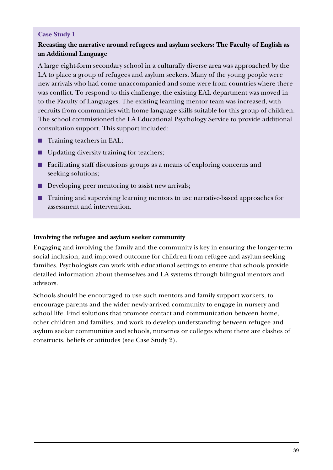#### **Case Study 1**

## **Recasting the narrative around refugees and asylum seekers: The Faculty of English as an Additional Language**

A large eight-form secondary school in a culturally diverse area was approached by the LA to place a group of refugees and asylum seekers. Many of the young people were new arrivals who had come unaccompanied and some were from countries where there was conflict. To respond to this challenge, the existing EAL department was moved in to the Faculty of Languages. The existing learning mentor team was increased, with recruits from communities with home language skills suitable for this group of children. The school commissioned the LA Educational Psychology Service to provide additional consultation support. This support included:

- Training teachers in EAL;
- Updating diversity training for teachers;
- Facilitating staff discussions groups as a means of exploring concerns and seeking solutions;
- Developing peer mentoring to assist new arrivals;
- Training and supervising learning mentors to use narrative-based approaches for assessment and intervention.

#### **Involving the refugee and asylum seeker community**

Engaging and involving the family and the community is key in ensuring the longer-term social inclusion, and improved outcome for children from refugee and asylum-seeking families. Psychologists can work with educational settings to ensure that schools provide detailed information about themselves and LA systems through bilingual mentors and advisors.

Schools should be encouraged to use such mentors and family support workers, to encourage parents and the wider newly-arrived community to engage in nursery and school life. Find solutions that promote contact and communication between home, other children and families, and work to develop understanding between refugee and asylum seeker communities and schools, nurseries or colleges where there are clashes of constructs, beliefs or attitudes (see Case Study 2).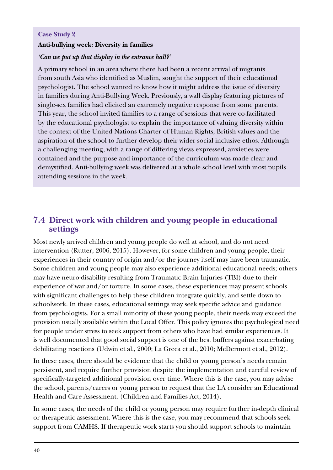#### <span id="page-39-0"></span>**Case Study 2**

#### **Anti-bullying week: Diversity in families**

#### *'Can we put up that display in the entrance hall?'*

A primary school in an area where there had been a recent arrival of migrants from south Asia who identified as Muslim, sought the support of their educational psychologist. The school wanted to know how it might address the issue of diversity in families during Anti-Bullying Week. Previously, a wall display featuring pictures of single-sex families had elicited an extremely negative response from some parents. This year, the school invited families to a range of sessions that were co-facilitated by the educational psychologist to explain the importance of valuing diversity within the context of the United Nations Charter of Human Rights, British values and the aspiration of the school to further develop their wider social inclusive ethos. Although a challenging meeting, with a range of differing views expressed, anxieties were contained and the purpose and importance of the curriculum was made clear and demystified. Anti-bullying week was delivered at a whole school level with most pupils attending sessions in the week.

## **7.4 Direct work with children and young people in educational settings**

Most newly arrived children and young people do well at school, and do not need intervention (Rutter, 2006, 2015). However, for some children and young people, their experiences in their country of origin and/or the journey itself may have been traumatic. Some children and young people may also experience additional educational needs; others may have neuro-disability resulting from Traumatic Brain Injuries (TBI) due to their experience of war and/or torture. In some cases, these experiences may present schools with significant challenges to help these children integrate quickly, and settle down to schoolwork. In these cases, educational settings may seek specific advice and guidance from psychologists. For a small minority of these young people, their needs may exceed the provision usually available within the Local Offer. This policy ignores the psychological need for people under stress to seek support from others who have had similar experiences. It is well documented that good social support is one of the best buffers against exacerbating debilitating reactions (Udwin et al., 2000; La Greca et al., 2010; McDermott et al., 2012).

In these cases, there should be evidence that the child or young person's needs remain persistent, and require further provision despite the implementation and careful review of specifically-targeted additional provision over time. Where this is the case, you may advise the school, parents/carers or young person to request that the LA consider an Educational Health and Care Assessment. (Children and Families Act, 2014).

In some cases, the needs of the child or young person may require further in-depth clinical or therapeutic assessment. Where this is the case, you may recommend that schools seek support from CAMHS. If therapeutic work starts you should support schools to maintain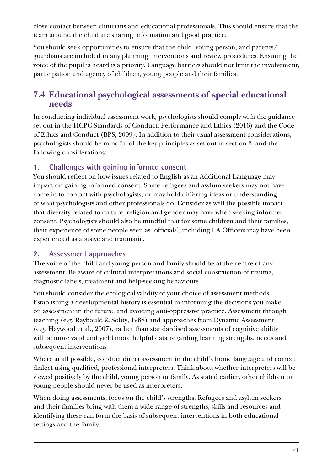<span id="page-40-0"></span>close contact between clinicians and educational professionals. This should ensure that the team around the child are sharing information and good practice.

You should seek opportunities to ensure that the child, young person, and parents/ guardians are included in any planning interventions and review procedures. Ensuring the voice of the pupil is heard is a priority. Language barriers should not limit the involvement, participation and agency of children, young people and their families.

# **7.4 Educational psychological assessments of special educational needs**

In conducting individual assessment work, psychologists should comply with the guidance set out in the HCPC Standards of Conduct, Performance and Ethics (2016) and the Code of Ethics and Conduct (BPS, 2009). In addition to their usual assessment considerations, psychologists should be mindful of the key principles as set out in section 3, and the following considerations:

## **1. Challenges with gaining informed consent**

You should reflect on how issues related to English as an Additional Language may impact on gaining informed consent. Some refugees and asylum seekers may not have come in to contact with psychologists, or may hold differing ideas or understanding of what psychologists and other professionals do. Consider as well the possible impact that diversity related to culture, religion and gender may have when seeking informed consent. Psychologists should also be mindful that for some children and their families, their experience of some people seen as 'officials', including LA Officers may have been experienced as abusive and traumatic.

## **2. Assessment approaches**

The voice of the child and young person and family should be at the centre of any assessment. Be aware of cultural interpretations and social construction of trauma, diagnostic labels, treatment and help-seeking behaviours

You should consider the ecological validity of your choice of assessment methods. Establishing a developmental history is essential in informing the decisions you make on assessment in the future, and avoiding anti-oppressive practice. Assessment through teaching (e.g. Raybould & Solity, 1988) and approaches from Dynamic Assessment (e.g. Haywood et al., 2007), rather than standardised assessments of cognitive ability will be more valid and yield more helpful data regarding learning strengths, needs and subsequent interventions

Where at all possible, conduct direct assessment in the child's home language and correct dialect using qualified, professional interpreters. Think about whether interpreters will be viewed positively by the child, young person or family. As stated earlier, other children or young people should never be used as interpreters.

When doing assessments, focus on the child's strengths. Refugees and asylum seekers and their families bring with them a wide range of strengths, skills and resources and identifying these can form the basis of subsequent interventions in both educational settings and the family.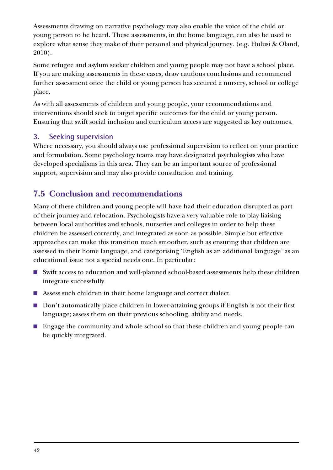<span id="page-41-0"></span>Assessments drawing on narrative psychology may also enable the voice of the child or young person to be heard. These assessments, in the home language, can also be used to explore what sense they make of their personal and physical journey. (e.g. Hulusi & Oland, 2010).

Some refugee and asylum seeker children and young people may not have a school place. If you are making assessments in these cases, draw cautious conclusions and recommend further assessment once the child or young person has secured a nursery, school or college place.

As with all assessments of children and young people, your recommendations and interventions should seek to target specific outcomes for the child or young person. Ensuring that swift social inclusion and curriculum access are suggested as key outcomes.

## **3. Seeking supervision**

Where necessary, you should always use professional supervision to reflect on your practice and formulation. Some psychology teams may have designated psychologists who have developed specialisms in this area. They can be an important source of professional support, supervision and may also provide consultation and training.

# **7.5 Conclusion and recommendations**

Many of these children and young people will have had their education disrupted as part of their journey and relocation. Psychologists have a very valuable role to play liaising between local authorities and schools, nurseries and colleges in order to help these children be assessed correctly, and integrated as soon as possible. Simple but effective approaches can make this transition much smoother, such as ensuring that children are assessed in their home language, and categorising 'English as an additional language' as an educational issue not a special needs one. In particular:

- Swift access to education and well-planned school-based assessments help these children integrate successfully.
- Assess such children in their home language and correct dialect.
- Don't automatically place children in lower-attaining groups if English is not their first language; assess them on their previous schooling, ability and needs.
- Engage the community and whole school so that these children and young people can be quickly integrated.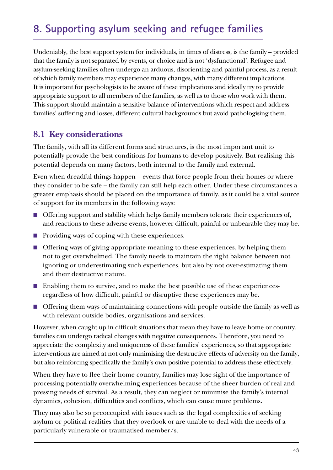# <span id="page-42-0"></span>**8. Supporting asylum seeking and refugee families**

Undeniably, the best support system for individuals, in times of distress, is the family – provided that the family is not separated by events, or choice and is not 'dysfunctional'. Refugee and asylum-seeking families often undergo an arduous, disorienting and painful process, as a result of which family members may experience many changes, with many different implications. It is important for psychologists to be aware of these implications and ideally try to provide appropriate support to all members of the families, as well as to those who work with them. This support should maintain a sensitive balance of interventions which respect and address families' suffering and losses, different cultural backgrounds but avoid pathologising them.

## **8.1 Key considerations**

The family, with all its different forms and structures, is the most important unit to potentially provide the best conditions for humans to develop positively. But realising this potential depends on many factors, both internal to the family and external.

Even when dreadful things happen – events that force people from their homes or where they consider to be safe – the family can still help each other. Under these circumstances a greater emphasis should be placed on the importance of family, as it could be a vital source of support for its members in the following ways:

- Offering support and stability which helps family members tolerate their experiences of, and reactions to these adverse events, however difficult, painful or unbearable they may be.
- Providing ways of coping with these experiences.
- Offering ways of giving appropriate meaning to these experiences, by helping them not to get overwhelmed. The family needs to maintain the right balance between not ignoring or underestimating such experiences, but also by not over-estimating them and their destructive nature.
- Enabling them to survive, and to make the best possible use of these experiencesregardless of how difficult, painful or disruptive these experiences may be.
- Offering them ways of maintaining connections with people outside the family as well as with relevant outside bodies, organisations and services.

However, when caught up in difficult situations that mean they have to leave home or country, families can undergo radical changes with negative consequences. Therefore, you need to appreciate the complexity and uniqueness of these families' experiences, so that appropriate interventions are aimed at not only minimising the destructive effects of adversity on the family, but also reinforcing specifically the family's own positive potential to address these effectively.

When they have to flee their home country, families may lose sight of the importance of processing potentially overwhelming experiences because of the sheer burden of real and pressing needs of survival. As a result, they can neglect or minimise the family's internal dynamics, cohesion, difficulties and conflicts, which can cause more problems.

They may also be so preoccupied with issues such as the legal complexities of seeking asylum or political realities that they overlook or are unable to deal with the needs of a particularly vulnerable or traumatised member/s.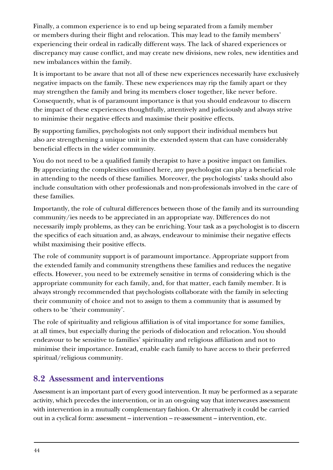<span id="page-43-0"></span>Finally, a common experience is to end up being separated from a family member or members during their flight and relocation. This may lead to the family members' experiencing their ordeal in radically different ways. The lack of shared experiences or discrepancy may cause conflict, and may create new divisions, new roles, new identities and new imbalances within the family.

It is important to be aware that not all of these new experiences necessarily have exclusively negative impacts on the family. These new experiences may rip the family apart or they may strengthen the family and bring its members closer together, like never before. Consequently, what is of paramount importance is that you should endeavour to discern the impact of these experiences thoughtfully, attentively and judiciously and always strive to minimise their negative effects and maximise their positive effects.

By supporting families, psychologists not only support their individual members but also are strengthening a unique unit in the extended system that can have considerably beneficial effects in the wider community.

You do not need to be a qualified family therapist to have a positive impact on families. By appreciating the complexities outlined here, any psychologist can play a beneficial role in attending to the needs of these families. Moreover, the psychologists' tasks should also include consultation with other professionals and non-professionals involved in the care of these families.

Importantly, the role of cultural differences between those of the family and its surrounding community/ies needs to be appreciated in an appropriate way. Differences do not necessarily imply problems, as they can be enriching. Your task as a psychologist is to discern the specifics of each situation and, as always, endeavour to minimise their negative effects whilst maximising their positive effects.

The role of community support is of paramount importance. Appropriate support from the extended family and community strengthens these families and reduces the negative effects. However, you need to be extremely sensitive in terms of considering which is the appropriate community for each family, and, for that matter, each family member. It is always strongly recommended that psychologists collaborate with the family in selecting their community of choice and not to assign to them a community that is assumed by others to be 'their community'.

The role of spirituality and religious affiliation is of vital importance for some families, at all times, but especially during the periods of dislocation and relocation. You should endeavour to be sensitive to families' spirituality and religious affiliation and not to minimise their importance. Instead, enable each family to have access to their preferred spiritual/religious community.

# **8.2 Assessment and interventions**

Assessment is an important part of every good intervention. It may be performed as a separate activity, which precedes the intervention, or in an on-going way that interweaves assessment with intervention in a mutually complementary fashion. Or alternatively it could be carried out in a cyclical form: assessment – intervention – re-assessment – intervention, etc.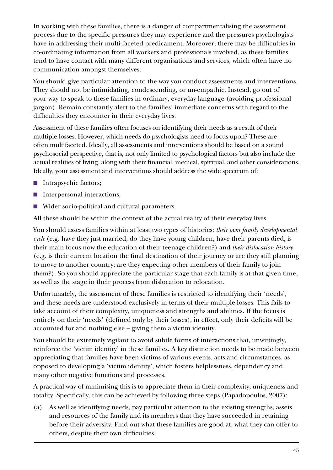In working with these families, there is a danger of compartmentalising the assessment process due to the specific pressures they may experience and the pressures psychologists have in addressing their multi-faceted predicament. Moreover, there may be difficulties in co-ordinating information from all workers and professionals involved, as these families tend to have contact with many different organisations and services, which often have no communication amongst themselves.

You should give particular attention to the way you conduct assessments and interventions. They should not be intimidating, condescending, or un-empathic. Instead, go out of your way to speak to these families in ordinary, everyday language (avoiding professional jargon). Remain constantly alert to the families' immediate concerns with regard to the difficulties they encounter in their everyday lives.

Assessment of these families often focuses on identifying their needs as a result of their multiple losses. However, which needs do psychologists need to focus upon? These are often multifaceted. Ideally, all assessments and interventions should be based on a sound psychosocial perspective, that is, not only limited to psychological factors but also include the actual realities of living, along with their financial, medical, spiritual, and other considerations. Ideally, your assessment and interventions should address the wide spectrum of:

- Intrapsychic factors;
- Interpersonal interactions;
- Wider socio-political and cultural parameters.

All these should be within the context of the actual reality of their everyday lives.

You should assess families within at least two types of histories: *their own family developmental cycle* (e.g. have they just married, do they have young children, have their parents died, is their main focus now the education of their teenage children?) and *their dislocation history* (e.g. is their current location the final destination of their journey or are they still planning to move to another country; are they expecting other members of their family to join them?). So you should appreciate the particular stage that each family is at that given time, as well as the stage in their process from dislocation to relocation.

Unfortunately, the assessment of these families is restricted to identifying their 'needs', and these needs are understood exclusively in terms of their multiple losses. This fails to take account of their complexity, uniqueness and strengths and abilities. If the focus is entirely on their 'needs' (defined only by their losses), in effect, only their deficits will be accounted for and nothing else – giving them a victim identity.

You should be extremely vigilant to avoid subtle forms of interactions that, unwittingly, reinforce the 'victim identity' in these families. A key distinction needs to be made between appreciating that families have been victims of various events, acts and circumstances, as opposed to developing a 'victim identity', which fosters helplessness, dependency and many other negative functions and processes.

A practical way of minimising this is to appreciate them in their complexity, uniqueness and totality. Specifically, this can be achieved by following three steps (Papadopoulos, 2007):

(a) As well as identifying needs, pay particular attention to the existing strengths, assets and resources of the family and its members that they have succeeded in retaining before their adversity. Find out what these families are good at, what they can offer to others, despite their own difficulties.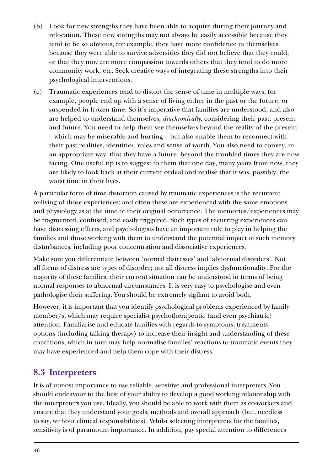- <span id="page-45-0"></span>(b) Look for new strengths they have been able to acquire during their journey and relocation. These new strengths may not always be easily accessible because they tend to be so obvious, for example, they have more confidence in themselves because they were able to survive adversities they did not believe that they could, or that they now are more compassion towards others that they tend to do more community work, etc. Seek creative ways of integrating these strengths into their psychological interventions.
- (c) Traumatic experiences tend to distort the sense of time in multiple ways, for example, people end up with a sense of living either in the past or the future, or suspended in frozen time. So it's imperative that families are understood, and also are helped to understand themselves, *diachronically*, considering their past, present and future. You need to help them see themselves beyond the reality of the present – which may be miserable and hurting – but also enable them to reconnect with their past realities, identities, roles and sense of worth. You also need to convey, in an appropriate way, that they have a future, beyond the troubled times they are now facing. One useful tip is to suggest to them that one day, many years from now, they are likely to look back at their current ordeal and realise that it was, possibly, the worst time in their lives.

A particular form of time distortion caused by traumatic experiences is the recurrent re-living of those experiences; and often these are experienced with the same emotions and physiology as at the time of their original occurrence. The memories/experiences may be fragmented, confused, and easily triggered. Such types of recurring experiences can have distressing effects, and psychologists have an important role to play in helping the families and those working with them to understand the potential impact of such memory disturbances, including poor concentration and dissociative experiences.

Make sure you differentiate between 'normal distresses' and 'abnormal disorders'. Not all forms of distress are types of disorder; not all distress implies dysfunctionality. For the majority of these families, their current situation can be understood in terms of being normal responses to abnormal circumstances. It is very easy to psychologise and even pathologise their suffering. You should be extremely vigilant to avoid both.

However, it is important that you identify psychological problems experienced by family member/s, which may require specialist psychotherapeutic (and even psychiatric) attention. Familiarise and educate families with regards to symptoms, treatments options (including talking therapy) to increase their insight and understanding of these conditions, which in turn may help normalise families' reactions to traumatic events they may have experienced and help them cope with their distress.

# **8.3 Interpreters**

It is of utmost importance to use reliable, sensitive and professional interpreters. You should endeavour to the best of your ability to develop a good working relationship with the interpreters you use. Ideally, you should be able to work with them as co-workers and ensure that they understand your goals, methods and overall approach (but, needless to say, without clinical responsibilities). Whilst selecting interpreters for the families, sensitivity is of paramount importance. In addition, pay special attention to differences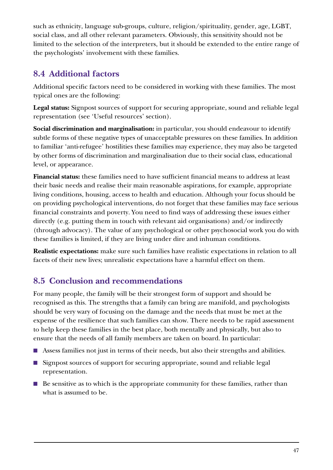<span id="page-46-0"></span>such as ethnicity, language sub-groups, culture, religion/spirituality, gender, age, LGBT, social class, and all other relevant parameters. Obviously, this sensitivity should not be limited to the selection of the interpreters, but it should be extended to the entire range of the psychologists' involvement with these families.

# **8.4 Additional factors**

Additional specific factors need to be considered in working with these families. The most typical ones are the following:

**Legal status:** Signpost sources of support for securing appropriate, sound and reliable legal representation (see 'Useful resources' section).

**Social discrimination and marginalisation:** in particular, you should endeavour to identify subtle forms of these negative types of unacceptable pressures on these families. In addition to familiar 'anti-refugee' hostilities these families may experience, they may also be targeted by other forms of discrimination and marginalisation due to their social class, educational level, or appearance.

**Financial status:** these families need to have sufficient financial means to address at least their basic needs and realise their main reasonable aspirations, for example, appropriate living conditions, housing, access to health and education. Although your focus should be on providing psychological interventions, do not forget that these families may face serious financial constraints and poverty. You need to find ways of addressing these issues either directly (e.g. putting them in touch with relevant aid organisations) and/or indirectly (through advocacy). The value of any psychological or other psychosocial work you do with these families is limited, if they are living under dire and inhuman conditions.

**Realistic expectations:** make sure such families have realistic expectations in relation to all facets of their new lives; unrealistic expectations have a harmful effect on them.

# **8.5 Conclusion and recommendations**

For many people, the family will be their strongest form of support and should be recognised as this. The strengths that a family can bring are manifold, and psychologists should be very wary of focusing on the damage and the needs that must be met at the expense of the resilience that such families can show. There needs to be rapid assessment to help keep these families in the best place, both mentally and physically, but also to ensure that the needs of all family members are taken on board. In particular:

- Assess families not just in terms of their needs, but also their strengths and abilities.
- Signpost sources of support for securing appropriate, sound and reliable legal representation.
- Be sensitive as to which is the appropriate community for these families, rather than what is assumed to be.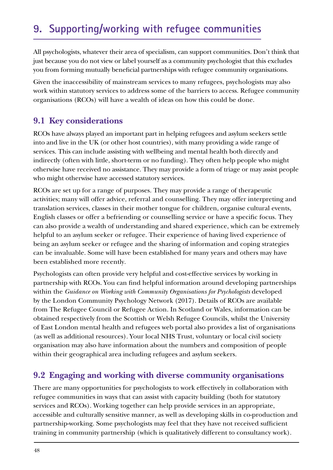<span id="page-47-0"></span>All psychologists, whatever their area of specialism, can support communities. Don't think that just because you do not view or label yourself as a community psychologist that this excludes you from forming mutually beneficial partnerships with refugee community organisations.

Given the inaccessibility of mainstream services to many refugees, psychologists may also work within statutory services to address some of the barriers to access. Refugee community organisations (RCOs) will have a wealth of ideas on how this could be done.

# **9.1 Key considerations**

RCOs have always played an important part in helping refugees and asylum seekers settle into and live in the UK (or other host countries), with many providing a wide range of services. This can include assisting with wellbeing and mental health both directly and indirectly (often with little, short-term or no funding). They often help people who might otherwise have received no assistance. They may provide a form of triage or may assist people who might otherwise have accessed statutory services.

RCOs are set up for a range of purposes. They may provide a range of therapeutic activities; many will offer advice, referral and counselling. They may offer interpreting and translation services, classes in their mother tongue for children, organise cultural events, English classes or offer a befriending or counselling service or have a specific focus. They can also provide a wealth of understanding and shared experience, which can be extremely helpful to an asylum seeker or refugee. Their experience of having lived experience of being an asylum seeker or refugee and the sharing of information and coping strategies can be invaluable. Some will have been established for many years and others may have been established more recently.

Psychologists can often provide very helpful and cost-effective services by working in partnership with RCOs. You can find helpful information around developing partnerships within the *Guidance on Working with Community Organisations for Psychologists* developed by the London Community Psychology Network (2017). Details of RCOs are available from The Refugee Council or Refugee Action. In Scotland or Wales, information can be obtained respectively from the Scottish or Welsh Refugee Councils, whilst the University of East London mental health and refugees web portal also provides a list of organisations (as well as additional resources). Your local NHS Trust, voluntary or local civil society organisation may also have information about the numbers and composition of people within their geographical area including refugees and asylum seekers.

## **9.2 Engaging and working with diverse community organisations**

There are many opportunities for psychologists to work effectively in collaboration with refugee communities in ways that can assist with capacity building (both for statutory services and RCOs). Working together can help provide services in an appropriate, accessible and culturally sensitive manner, as well as developing skills in co-production and partnership-working. Some psychologists may feel that they have not received sufficient training in community partnership (which is qualitatively different to consultancy work).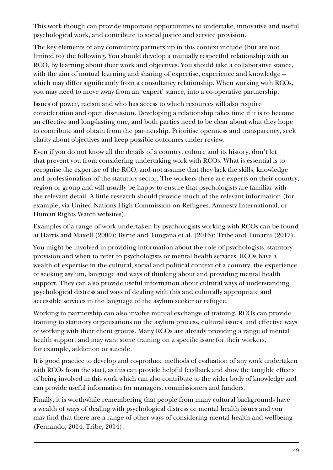This work though can provide important opportunities to undertake, innovative and useful psychological work, and contribute to social justice and service provision.

The key elements of any community partnership in this context include (but are not limited to) the following. You should develop a mutually respectful relationship with an RCO, by learning about their work and objectives. You should take a collaborative stance, with the aim of mutual learning and sharing of expertise, experience and knowledge – which may differ significantly from a consultancy relationship. When working with RCOs, you may need to move away from an 'expert' stance, into a co-operative partnership.

Issues of power, racism and who has access to which resources will also require consideration and open discussion. Developing a relationship takes time if it is to become an effective and long-lasting one, and both parties need to be clear about what they hope to contribute and obtain from the partnership. Prioritise openness and transparency, seek clarity about objectives and keep possible outcomes under review.

Even if you do not know all the details of a country, culture and its history, don't let that prevent you from considering undertaking work with RCOs. What is essential is to recognise the expertise of the RCO, and not assume that they lack the skills, knowledge and professionalism of the statutory sector. The workers there are experts on their country, region or group and will usually be happy to ensure that psychologists are familiar with the relevant detail. A little research should provide much of the relevant information (for example, via United Nations High Commission on Refugees, Amnesty International, or Human Rights Watch websites).

Examples of a range of work undertaken by psychologists working with RCOs can be found at Harris and Maxell (2000); Byrne and Tungana et al. (2016); Tribe and Tunariu (2017).

You might be involved in providing information about the role of psychologists, statutory provision and when to refer to psychologists or mental health services. RCOs have a wealth of expertise in the cultural, social and political context of a country, the experience of seeking asylum, language and ways of thinking about and providing mental health support. They can also provide useful information about cultural ways of understanding psychological distress and ways of dealing with this and culturally appropriate and accessible services in the language of the asylum seeker or refugee.

Working in partnership can also involve mutual exchange of training. RCOs can provide training to statutory organisations on the asylum process, cultural issues, and effective ways of working with their client groups. Many RCOs are already providing a range of mental health support and may want some training on a specific issue for their workers, for example, addiction or suicide.

It is good practice to develop and co-produce methods of evaluation of any work undertaken with RCOs from the start, as this can provide helpful feedback and show the tangible effects of being involved in this work which can also contribute to the wider body of knowledge and can provide useful information for managers, commissioners and funders.

Finally, it is worthwhile remembering that people from many cultural backgrounds have a wealth of ways of dealing with psychological distress or mental health issues and you may find that there are a range of other ways of considering mental health and wellbeing (Fernando, 2014; Tribe, 2014).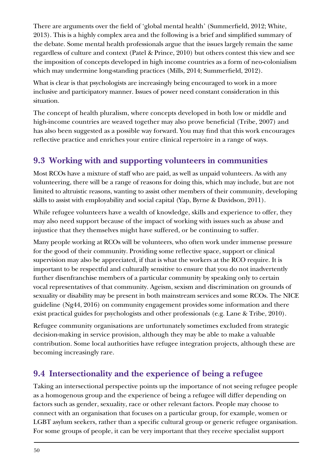<span id="page-49-0"></span>There are arguments over the field of 'global mental health' (Summerfield, 2012; White, 2013). This is a highly complex area and the following is a brief and simplified summary of the debate. Some mental health professionals argue that the issues largely remain the same regardless of culture and context (Patel & Prince, 2010) but others contest this view and see the imposition of concepts developed in high income countries as a form of neo-colonialism which may undermine long-standing practices (Mills, 2014; Summerfield, 2012).

What is clear is that psychologists are increasingly being encouraged to work in a more inclusive and participatory manner. Issues of power need constant consideration in this situation.

The concept of health pluralism, where concepts developed in both low or middle and high-income countries are weaved together may also prove beneficial (Tribe, 2007) and has also been suggested as a possible way forward. You may find that this work encourages reflective practice and enriches your entire clinical repertoire in a range of ways.

# **9.3 Working with and supporting volunteers in communities**

Most RCOs have a mixture of staff who are paid, as well as unpaid volunteers. As with any volunteering, there will be a range of reasons for doing this, which may include, but are not limited to altruistic reasons, wanting to assist other members of their community, developing skills to assist with employability and social capital (Yap, Byrne & Davidson, 2011).

While refugee volunteers have a wealth of knowledge, skills and experience to offer, they may also need support because of the impact of working with issues such as abuse and injustice that they themselves might have suffered, or be continuing to suffer.

Many people working at RCOs will be volunteers, who often work under immense pressure for the good of their community. Providing some reflective space, support or clinical supervision may also be appreciated, if that is what the workers at the RCO require. It is important to be respectful and culturally sensitive to ensure that you do not inadvertently further disenfranchise members of a particular community by speaking only to certain vocal representatives of that community. Ageism, sexism and discrimination on grounds of sexuality or disability may be present in both mainstream services and some RCOs. The NICE guideline (Ng44, 2016) on community engagement provides some information and there exist practical guides for psychologists and other professionals (e.g. Lane & Tribe, 2010).

Refugee community organisations are unfortunately sometimes excluded from strategic decision-making in service provision, although they may be able to make a valuable contribution. Some local authorities have refugee integration projects, although these are becoming increasingly rare.

# **9.4 Intersectionality and the experience of being a refugee**

Taking an intersectional perspective points up the importance of not seeing refugee people as a homogenous group and the experience of being a refugee will differ depending on factors such as gender, sexuality, race or other relevant factors. People may choose to connect with an organisation that focuses on a particular group, for example, women or LGBT asylum seekers, rather than a specific cultural group or generic refugee organisation. For some groups of people, it can be very important that they receive specialist support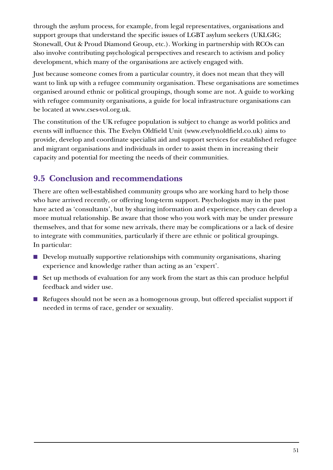<span id="page-50-0"></span>through the asylum process, for example, from legal representatives, organisations and support groups that understand the specific issues of LGBT asylum seekers (UKLGIG; Stonewall, Out & Proud Diamond Group, etc.). Working in partnership with RCOs can also involve contributing psychological perspectives and research to activism and policy development, which many of the organisations are actively engaged with.

Just because someone comes from a particular country, it does not mean that they will want to link up with a refugee community organisation. These organisations are sometimes organised around ethnic or political groupings, though some are not. A guide to working with refugee community organisations, a guide for local infrastructure organisations can be located at www.cses-vol.org.uk.

The constitution of the UK refugee population is subject to change as world politics and events will influence this. The Evelyn Oldfield Unit (www.evelynoldfield.co.uk) aims to provide, develop and coordinate specialist aid and support services for established refugee and migrant organisations and individuals in order to assist them in increasing their capacity and potential for meeting the needs of their communities.

# **9.5 Conclusion and recommendations**

There are often well-established community groups who are working hard to help those who have arrived recently, or offering long-term support. Psychologists may in the past have acted as 'consultants', but by sharing information and experience, they can develop a more mutual relationship. Be aware that those who you work with may be under pressure themselves, and that for some new arrivals, there may be complications or a lack of desire to integrate with communities, particularly if there are ethnic or political groupings. In particular:

- Develop mutually supportive relationships with community organisations, sharing experience and knowledge rather than acting as an 'expert'.
- Set up methods of evaluation for any work from the start as this can produce helpful feedback and wider use.
- Refugees should not be seen as a homogenous group, but offered specialist support if needed in terms of race, gender or sexuality.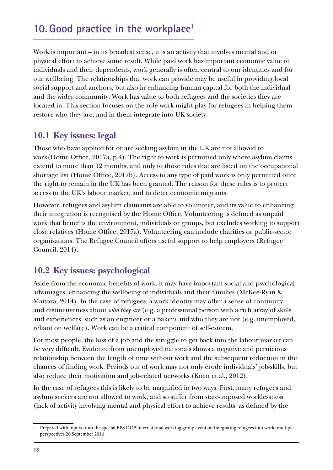# <span id="page-51-0"></span>**10.Good practice in the workplace1**

Work is important – in its broadest sense, it is an activity that involves mental and or physical effort to achieve some result. While paid work has important economic value to individuals and their dependents, work generally is often central to our identities and for our wellbeing. The relationships that work can provide may be useful in providing local social support and anchors, but also in enhancing human capital for both the individual and the wider community. Work has value to both refugees and the societies they are located in. This section focuses on the role work might play for refugees in helping them restore who they are, and in them integrate into UK society.

# **10.1 Key issues: legal**

Those who have applied for or are seeking asylum in the UK are not allowed to work(Home Office, 2017a, p.4). The right to work is permitted only where asylum claims extend to more than 12 months, and only to those roles that are listed on the occupational shortage list (Home Office, 2017b). Access to any type of paid work is only permitted once the right to remain in the UK has been granted. The reason for these rules is to protect access to the UK's labour market, and to deter economic migrants.

However, refugees and asylum claimants are able to volunteer, and its value to enhancing their integration is recognised by the Home Office. Volunteering is defined as unpaid work that benefits the environment, individuals or groups, but excludes working to support close relatives (Home Office, 2017a). Volunteering can include charities or public-sector organisations. The Refugee Council offers useful support to help employers (Refugee Council, 2014).

# **10.2 Key issues: psychological**

Aside from the economic benefits of work, it may have important social and psychological advantages, enhancing the wellbeing of individuals and their families (McKee-Ryan & Maitoza, 2014). In the case of refugees, a work identity may offer a sense of continuity and distinctiveness about *who they are* (e.g. a professional person with a rich array of skills and experiences, such as an engineer or a baker) and who they are not (e.g. unemployed, reliant on welfare). Work can be a critical component of self-esteem.

For most people, the loss of a job and the struggle to get back into the labour market can be very difficult. Evidence from unemployed nationals shows a negative and pernicious relationship between the length of time without work and the subsequent reduction in the chances of finding work. Periods out of work may not only erode individuals' job-skills, but also reduce their motivation and job-related networks (Koen et al., 2012).

In the case of refugees this is likely to be magnified in two ways. First, many refugees and asylum seekers are not allowed to work, and so suffer from state-imposed worklessness (lack of activity involving mental and physical effort to achieve results- as defined by the

<sup>1</sup> Prepared with inputs from the special BPS DOP international working group event on Integrating refugees into work: multiple perspectives 26 September 2016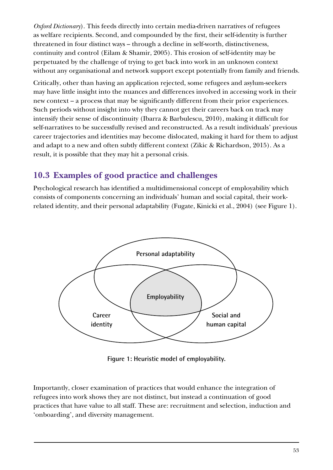<span id="page-52-0"></span>*Oxford Dictionary*). This feeds directly into certain media-driven narratives of refugees as welfare recipients. Second, and compounded by the first, their self-identity is further threatened in four distinct ways – through a decline in self-worth, distinctiveness, continuity and control (Eilam & Shamir, 2005). This erosion of self-identity may be perpetuated by the challenge of trying to get back into work in an unknown context without any organisational and network support except potentially from family and friends.

Critically, other than having an application rejected, some refugees and asylum-seekers may have little insight into the nuances and differences involved in accessing work in their new context – a process that may be significantly different from their prior experiences. Such periods without insight into why they cannot get their careers back on track may intensify their sense of discontinuity (Ibarra & Barbulescu, 2010), making it difficult for self-narratives to be successfully revised and reconstructed. As a result individuals' previous career trajectories and identities may become dislocated, making it hard for them to adjust and adapt to a new and often subtly different context (Zikic & Richardson, 2015). As a result, it is possible that they may hit a personal crisis.

# **10.3 Examples of good practice and challenges**

Psychological research has identified a multidimensional concept of employability which consists of components concerning an individuals' human and social capital, their workrelated identity, and their personal adaptability (Fugate, Kinicki et al., 2004) (see Figure 1).



**Figure 1: Heuristic model of employability.**

Importantly, closer examination of practices that would enhance the integration of refugees into work shows they are not distinct, but instead a continuation of good practices that have value to all staff. These are: recruitment and selection, induction and 'onboarding', and diversity management.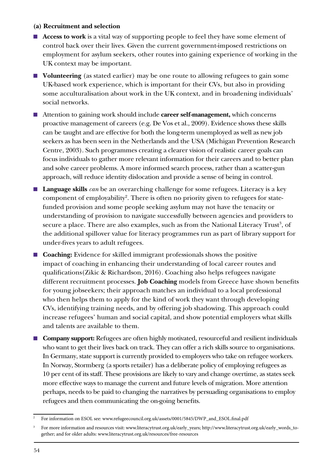#### **(a) Recruitment and selection**

- **Access to work** is a vital way of supporting people to feel they have some element of control back over their lives. Given the current government-imposed restrictions on employment for asylum seekers, other routes into gaining experience of working in the UK context may be important.
- **Volunteering** (as stated earlier) may be one route to allowing refugees to gain some UK-based work experience, which is important for their CVs, but also in providing some acculturalisation about work in the UK context, and in broadening individuals' social networks.
- Attention to gaining work should include **career self-management**, which concerns proactive management of careers (e.g. De Vos et al., 2009). Evidence shows these skills can be taught and are effective for both the long-term unemployed as well as new job seekers as has been seen in the Netherlands and the USA (Michigan Prevention Research Centre, 2003). Such programmes creating a clearer vision of realistic career goals can focus individuals to gather more relevant information for their careers and to better plan and solve career problems. A more informed search process, rather than a scatter-gun approach, will reduce identity dislocation and provide a sense of being in control.
- **Language skills** *can* be an overarching challenge for some refugees. Literacy is a key component of employability<sup>2</sup>. There is often no priority given to refugees for statefunded provision and some people seeking asylum may not have the tenacity or understanding of provision to navigate successfully between agencies and providers to secure a place. There are also examples, such as from the National Literacy Trust $^3$ , of the additional spillover value for literacy programmes run as part of library support for under-fives years to adult refugees.
- **Coaching:** Evidence for skilled immigrant professionals shows the positive impact of coaching in enhancing their understanding of local career routes and qualifications(Zikic & Richardson, 2016). Coaching also helps refugees navigate different recruitment processes. **Job Coaching** models from Greece have shown benefits for young jobseekers; their approach matches an individual to a local professional who then helps them to apply for the kind of work they want through developing CVs, identifying training needs, and by offering job shadowing. This approach could increase refugees' human and social capital, and show potential employers what skills and talents are available to them.
- **Company support:** Refugees are often highly motivated, resourceful and resilient individuals who want to get their lives back on track. They can offer a rich skills source to organisations. In Germany, state support is currently provided to employers who take on refugee workers. In Norway, Stormberg (a sports retailer) has a deliberate policy of employing refugees as 10 per cent of its staff. These provisions are likely to vary and change overtime, as states seek more effective ways to manage the current and future levels of migration. More attention perhaps, needs to be paid to changing the narratives by persuading organisations to employ refugees and then communicating the on-going benefits.

<sup>&</sup>lt;sup>2</sup> For information on ESOL see: www.refugeecouncil.org.uk/assets/0001/5845/DWP\_and\_ESOL.final.pdf

<sup>&</sup>lt;sup>3</sup> For more information and resources visit: www.literacytrust.org.uk/early\_years; http://www.literacytrust.org.uk/early\_words\_together; and for older adults: www.literacytrust.org.uk/resources/free-resources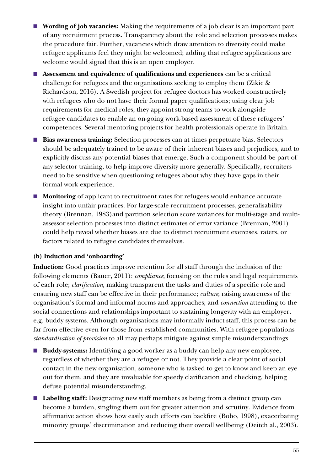- **Wording of job vacancies:** Making the requirements of a job clear is an important part of any recruitment process. Transparency about the role and selection processes makes the procedure fair. Further, vacancies which draw attention to diversity could make refugee applicants feel they might be welcomed; adding that refugee applications are welcome would signal that this is an open employer.
- **Assessment and equivalence of qualifications and experiences** can be a critical challenge for refugees and the organisations seeking to employ them (Zikic & Richardson, 2016). A Swedish project for refugee doctors has worked constructively with refugees who do not have their formal paper qualifications; using clear job requirements for medical roles, they appoint strong teams to work alongside refugee candidates to enable an on-going work-based assessment of these refugees' competences. Several mentoring projects for health professionals operate in Britain.
- **Bias awareness training:** Selection processes can at times perpetuate bias. Selectors should be adequately trained to be aware of their inherent biases and prejudices, and to explicitly discuss any potential biases that emerge. Such a component should be part of any selector training, to help improve diversity more generally. Specifically, recruiters need to be sensitive when questioning refugees about why they have gaps in their formal work experience.
- **Monitoring** of applicant to recruitment rates for refugees would enhance accurate insight into unfair practices. For large-scale recruitment processes, generalisability theory (Brennan, 1983)and partition selection score variances for multi-stage and multiassessor selection processes into distinct estimates of error variance (Brennan, 2001) could help reveal whether biases are due to distinct recruitment exercises, raters, or factors related to refugee candidates themselves.

### **(b) Induction and 'onboarding'**

**Induction:** Good practices improve retention for all staff through the inclusion of the following elements (Bauer, 2011): *compliance*, focusing on the rules and legal requirements of each role; *clarification*, making transparent the tasks and duties of a specific role and ensuring new staff can be effective in their performance; *culture*, raising awareness of the organisation's formal and informal norms and approaches; and *connection* attending to the social connections and relationships important to sustaining longevity with an employer, e.g. buddy systems. Although organisations may informally induct staff, this process can be far from effective even for those from established communities. With refugee populations *standardisation of provision* to all may perhaps mitigate against simple misunderstandings.

- **Buddy-systems:** Identifying a good worker as a buddy can help any new employee, regardless of whether they are a refugee or not. They provide a clear point of social contact in the new organisation, someone who is tasked to get to know and keep an eye out for them, and they are invaluable for speedy clarification and checking, helping defuse potential misunderstanding.
- Labelling staff: Designating new staff members as being from a distinct group can become a burden, singling them out for greater attention and scrutiny. Evidence from affirmative action shows how easily such efforts can backfire (Bobo, 1998), exacerbating minority groups' discrimination and reducing their overall wellbeing (Deitch al., 2003).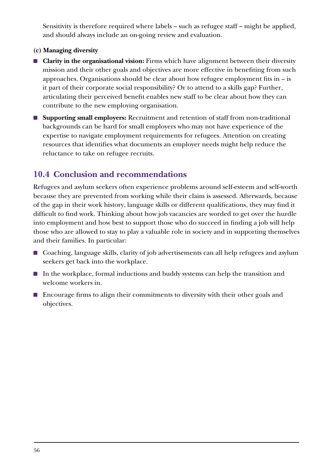<span id="page-55-0"></span>Sensitivity is therefore required where labels – such as refugee staff – might be applied, and should always include an on-going review and evaluation.

#### **(c) Managing diversity**

- **Clarity in the organisational vision:** Firms which have alignment between their diversity mission and their other goals and objectives are more effective in benefiting from such approaches. Organisations should be clear about how refugee employment fits in – is it part of their corporate social responsibility? Or to attend to a skills gap? Further, articulating their perceived benefit enables new staff to be clear about how they can contribute to the new employing organisation.
- **Supporting small employers:** Recruitment and retention of staff from non-traditional backgrounds can be hard for small employers who may not have experience of the expertise to navigate employment requirements for refugees. Attention on creating resources that identifies what documents an employer needs might help reduce the reluctance to take on refugee recruits.

## **10.4 Conclusion and recommendations**

Refugees and asylum seekers often experience problems around self-esteem and self-worth because they are prevented from working while their claim is assessed. Afterwards, because of the gap in their work history, language skills or different qualifications, they may find it difficult to find work. Thinking about how job vacancies are worded to get over the hurdle into employment and how best to support those who do succeed in finding a job will help those who are allowed to stay to play a valuable role in society and in supporting themselves and their families. In particular:

- Coaching, language skills, clarity of job advertisements can all help refugees and asylum seekers get back into the workplace.
- In the workplace, formal inductions and buddy systems can help the transition and welcome workers in.
- Encourage firms to align their commitments to diversity with their other goals and objectives.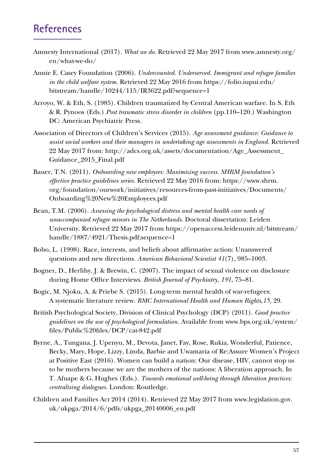# **References**

- Amnesty International (2017). *What we do.* Retrieved 22 May 2017 from www.amnesty.org/ en/what-we-do/
- Annie E. Casey Foundation (2006). *Undercounted. Underserved. Immigrant and refugee families in the child welfare system.* Retrieved 22 May 2016 from https://folio.iupui.edu/ bitstream/handle/10244/115/IR3622.pdf?sequence=1
- Arroyo, W. & Eth, S. (1985). Children traumatized by Central American warfare. In S. Eth & R. Pynoos (Eds.) *Post traumatic stress disorder in children* (pp.110–120.) Washington DC: American Psychiatric Press.
- Association of Directors of Children's Services (2015). *Age assessment guidance: Guidance to assist social workers and their managers in undertaking age assessments in England.* Retrieved 22 May 2017 from: http://adcs.org.uk/assets/documentation/Age\_Assessment\_ Guidance\_2015\_Final.pdf
- Bauer, T.N. (2011). *Onboarding new employees: Maximizing success. SHRM foundation's effective practice guidelines series.* Retrieved 22 May 2016 from: https://www.shrm. org/foundation/ourwork/initiatives/resources-from-past-initiatives/Documents/ Onboarding%20New%20Employees.pdf
- Bean, T.M. (2006). *Assessing the psychological distress and mental health care needs of unaccompanied refugee minors in The Netherlands.* Doctoral dissertation: Leiden University. Retrieved 22 May 2017 from https://openaccess.leidenuniv.nl/bitstream/ handle/1887/4921/Thesis.pdf;sequence=1
- Bobo, L. (1998). Race, interests, and beliefs about affirmative action: Unanswered questions and new directions. *American Behavioral Scientist 41*(7), 985–1003.
- Bogner, D., Herlihy, J. & Brewin, C. (2007). The impact of sexual violence on disclosure during Home Office Interviews. *British Journal of Psychiatry, 191,* 75–81.
- Bogic, M. Njoku, A. & Priebe S. (2015). Long-term mental health of war-refugees: A systematic literature review. *BMC International Health and Human Rights,15,* 29.
- British Psychological Society, Division of Clinical Psychology (DCP) (2011). *Good practice guidelines on the use of psychological formulation.* Available from www.bps.org.uk/system/ files/Public%20files/DCP/cat-842.pdf
- Byrne, A., Tungana, J. Upenyu, M., Devota, Janet, Fay, Rose, Rukia, Wonderful, Patience, Becky, Mary, Hope, Lizzy, Linda, Barbie and Uwamaria of Re:Assure Women's Project at Positive East (2016). Women can build a nation: Our disease, HIV, cannot stop us to be mothers because we are the mothers of the nations: A liberation approach. In T. Afuape & G. Hughes (Eds.). *Towards emotional well-being through liberation practices: centralising dialogues.* London: Routledge.
- Children and Families Act 2014 (2014). Retrieved 22 May 2017 from www.legislation.gov. uk/ukpga/2014/6/pdfs/ukpga\_20140006\_en.pdf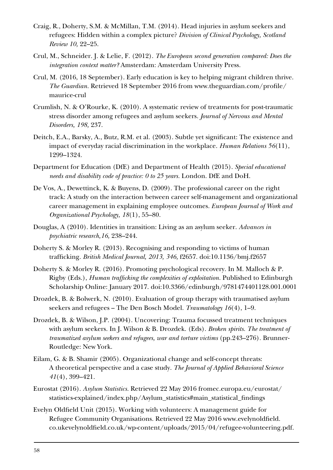- <span id="page-57-0"></span>Craig, R., Doherty, S.M. & McMillan, T.M. (2014). Head injuries in asylum seekers and refugees: Hidden within a complex picture? *Division of Clinical Psychology, Scotland Review 10,* 22–25.
- Crul, M., Schneider. J. & Lelie, F. (2012). *The European second generation compared: Does the integration context matter?* Amsterdam: Amsterdam University Press.
- Crul, M. (2016, 18 September). Early education is key to helping migrant children thrive. *The Guardian.* Retrieved 18 September 2016 from www.theguardian.com/profile/ maurice-crul
- Crumlish, N. & O'Rourke, K. (2010). A systematic review of treatments for post-traumatic stress disorder among refugees and asylum seekers. *Journal of Nervous and Mental Disorders, 198,* 237.
- Deitch, E.A., Barsky, A., Butz, R.M. et al. (2003). Subtle yet significant: The existence and impact of everyday racial discrimination in the workplace. *Human Relations 56*(11), 1299–1324.
- Department for Education (DfE) and Department of Health (2015). *Special educational needs and disability code of practice: 0 to 25 years.* London. DfE and DoH.
- De Vos, A., Dewettinck, K. & Buyens, D. (2009). The professional career on the right track: A study on the interaction between career self-management and organizational career management in explaining employee outcomes. *European Journal of Work and Organizational Psychology, 18*(1), 55–80.
- Douglas, A (2010). Identities in transition: Living as an asylum seeker. *Advances in psychiatric research,16,* 238–244.
- Doherty S. & Morley R. (2013). Recognising and responding to victims of human trafficking. *British Medical Journal, 2013, 346,* f2657. doi:10.1136/bmj.f2657
- Doherty S. & Morley R. (2016). Promoting psychological recovery. In M. Malloch & P. Rigby (Eds.), *Human trafficking the complexities of exploitation.* Published to Edinburgh Scholarship Online: January 2017. doi:10.3366/edinburgh/9781474401128.001.0001
- Drozdek, B. & Bolwerk, N. (2010). Evaluation of group therapy with traumatised asylum seekers and refugees – The Den Bosch Model. *Traumatology 16*(4), 1–9.
- Drozdek, B. & Wilson, J.P. (2004). Uncovering: Trauma focussed treatment techniques with asylum seekers. In J. Wilson & B. Drozdek. (Eds). *Broken spirits. The treatment of traumatized asylum seekers and refugees, war and torture victims (pp.243–276).* Brunner-Routledge: New York.
- Eilam, G. & B. Shamir (2005). Organizational change and self-concept threats: A theoretical perspective and a case study. *The Journal of Applied Behavioral Science 41*(4), 399–421.
- Eurostat (2016). *Asylum Statistics.* Retrieved 22 May 2016 fromec.europa.eu/eurostat/ statistics-explained/index.php/Asylum\_statistics#main\_statistical\_findings
- Evelyn Oldfield Unit (2015). Working with volunteers: A management guide for Refugee Community Organisations. Retrieved 22 May 2016 www.evelynoldfield. co.ukevelynoldfield.co.uk/wp-content/uploads/2015/04/refugee-volunteering.pdf.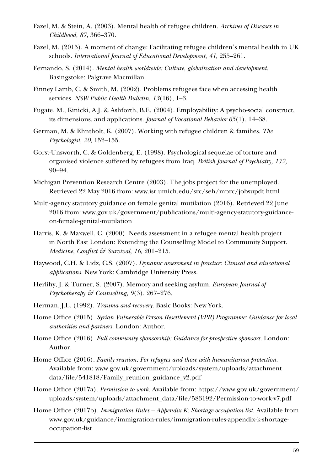- Fazel, M. & Stein, A. (2003). Mental health of refugee children. *Archives of Diseases in Childhood, 87,* 366–370.
- Fazel, M. (2015). A moment of change: Facilitating refugee children's mental health in UK schools. *International Journal of Educational Development, 41,* 255–261.
- Fernando, S. (2014). *Mental health worldwide: Culture, globalization and development.*  Basingstoke: Palgrave Macmillan.
- Finney Lamb, C. & Smith, M. (2002). Problems refugees face when accessing health services. *NSW Public Health Bulletin, 13*(16), 1–3.
- Fugate, M., Kinicki, A.J. & Ashforth, B.E. (2004). Employability: A psycho-social construct, its dimensions, and applications. *Journal of Vocational Behavior 65*(1), 14–38.
- German, M. & Ehntholt, K. (2007). Working with refugee children & families. *The Psychologist, 20,* 152–155.
- Gorst-Unsworth, C. & Goldenberg, E. (1998). Psychological sequelae of torture and organised violence suffered by refugees from Iraq. *British Journal of Psychiatry, 172,*  90–94.
- Michigan Prevention Research Centre (2003). The jobs project for the unemployed. Retrieved 22 May 2016 from: www.isr.umich.edu/src/seh/mprc/jobsupdt.html
- Multi-agency statutory guidance on female genital mutilation (2016). Retrieved 22 June 2016 from: www.gov.uk/government/publications/multi-agency-statutory-guidanceon-female-genital-mutilation
- Harris, K. & Maxwell, C. (2000). Needs assessment in a refugee mental health project in North East London: Extending the Counselling Model to Community Support. *Medicine, Conflict & Survival, 16,* 201–215.
- Haywood, C.H. & Lidz, C.S. (2007). *Dynamic assessment in practice: Clinical and educational applications.* New York: Cambridge University Press.
- Herlihy, J. & Turner, S. (2007). Memory and seeking asylum. *European Journal of Psychotherapy & Counselling, 9*(3). 267–276.
- Herman, J.L. (1992). *Trauma and recovery.* Basic Books: New York.
- Home Office (2015). *Syrian Vulnerable Person Resettlement (VPR) Programme: Guidance for local authorities and partners.* London: Author.
- Home Office (2016). *Full community sponsorship: Guidance for prospective sponsors.* London: Author.
- Home Office (2016). *Family reunion: For refugees and those with humanitarian protection.*  Available from: www.gov.uk/government/uploads/system/uploads/attachment\_ data/file/541818/Family\_reunion\_guidance\_v2.pdf
- Home Office (2017a). *Permission to work.* Available from: https://www.gov.uk/government/ uploads/system/uploads/attachment\_data/file/583192/Permission-to-work-v7.pdf
- Home Office (2017b). *Immigration Rules Appendix K: Shortage occupation list*. Available from www.gov.uk/guidance/immigration-rules/immigration-rules-appendix-k-shortageoccupation-list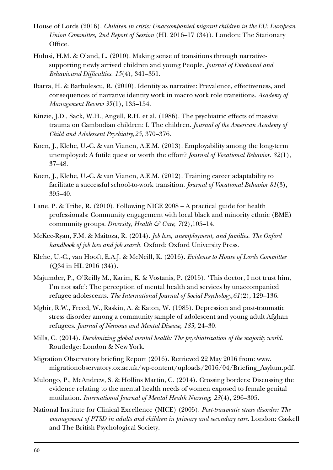- House of Lords (2016). *Children in crisis: Unaccompanied migrant children in the EU: European Union Committee, 2nd Report of Session* (HL 2016–17 (34)). London: The Stationary Office.
- Hulusi, H.M. & Oland, L. (2010). Making sense of transitions through narrativesupporting newly arrived children and young People. *Journal of Emotional and Behavioural Difficulties. 15*(4), 341–351.
- Ibarra, H. & Barbulescu, R. (2010). Identity as narrative: Prevalence, effectiveness, and consequences of narrative identity work in macro work role transitions. *Academy of Management Review 35*(1), 135–154.
- Kinzie, J.D., Sack, W.H., Angell, R.H. et al. (1986). The psychiatric effects of massive trauma on Cambodian children: I. The children. *Journal of the American Academy of Child and Adolescent Psychiatry,25,* 370–376.
- Koen, J., Klehe, U.-C. & van Vianen, A.E.M. (2013). Employability among the long-term unemployed: A futile quest or worth the effort? *Journal of Vocational Behavior. 82*(1), 37–48.
- Koen, J., Klehe, U.-C. & van Vianen, A.E.M. (2012). Training career adaptability to facilitate a successful school-to-work transition. *Journal of Vocational Behavior 81*(3), 395–40.
- Lane, P. & Tribe, R. (2010). Following NICE 2008 A practical guide for health professionals: Community engagement with local black and minority ethnic (BME) community groups. *Diversity, Health & Care, 7(2)*, 105–14.
- McKee-Ryan, F.M. & Maitoza, R. (2014). *Job loss, unemployment, and families. The Oxford handbook of job loss and job search.* Oxford: Oxford University Press.
- Klehe, U.-C., van Hooft, E.A.J. & McNeill, K. (2016). *Evidence to House of Lords Committee* (Q34 in HL 2016 (34)).
- Majumder, P., O'Reilly M., Karim, K. & Vostanis, P. (2015). 'This doctor, I not trust him, I'm not safe': The perception of mental health and services by unaccompanied refugee adolescents. *The International Journal of Social Psychology,61*(2), 129–136.
- Mghir, R.W., Freed, W., Raskin, A. & Katon, W. (1985). Depression and post-traumatic stress disorder among a community sample of adolescent and young adult Afghan refugees. *Journal of Nervous and Mental Disease, 183,* 24–30.
- Mills, C. (2014). *Decolonizing global mental health: The psychiatrization of the majority world.*  Routledge: London & New York.
- Migration Observatory briefing Report (2016). Retrieved 22 May 2016 from: www. migrationobservatory.ox.ac.uk/wp-content/uploads/2016/04/Briefing\_Asylum.pdf.
- Mulongo, P., McAndrew, S. & Hollins Martin, C. (2014). Crossing borders: Discussing the evidence relating to the mental health needs of women exposed to female genital mutilation. *International Journal of Mental Health Nursing, 23*(4), 296–305.
- National Institute for Clinical Excellence (NICE) (2005). *Post-traumatic stress disorder: The management of PTSD in adults and children in primary and secondary care.* London: Gaskell and The British Psychological Society.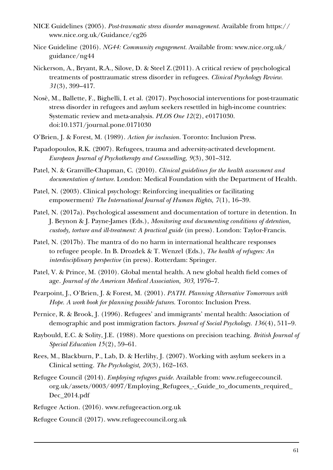- NICE Guidelines (2005). *Post-traumatic stress disorder management.* Available from https:// www.nice.org.uk/Guidance/cg26
- Nice Guideline (2016). *NG44: Community engagement.* Available from: www.nice.org.uk/ guidance/ng44
- Nickerson, A., Bryant, R.A., Silove, D. & Steel Z.(2011). A critical review of psychological treatments of posttraumatic stress disorder in refugees. *Clinical Psychology Review. 31*(3), 399–417.
- Nosè, M., Ballette, F., Bighelli, I. et al. (2017). Psychosocial interventions for post-traumatic stress disorder in refugees and asylum seekers resettled in high-income countries: Systematic review and meta-analysis. *PLOS One 12*(2), e0171030. doi:10.1371/journal.pone.0171030
- O'Brien, J. & Forest, M. (1989). *Action for inclusion.* Toronto: Inclusion Press.
- Papadopoulos, R.K. (2007). Refugees, trauma and adversity-activated development. *European Journal of Psychotherapy and Counselling, 9*(3), 301–312.
- Patel, N. & Granville-Chapman, C. (2010). *Clinical guidelines for the health assessment and documentation of torture.* London: Medical Foundation with the Department of Health.
- Patel, N. (2003). Clinical psychology: Reinforcing inequalities or facilitating empowerment? *The International Journal of Human Rights, 7*(1), 16–39.
- Patel, N. (2017a). Psychological assessment and documentation of torture in detention. In J. Beynon & J. Payne-James (Eds.), *Monitoring and documenting conditions of detention, custody, torture and ill-treatment: A practical guide* (in press)*.* London: Taylor-Francis.
- Patel, N. (2017b). The mantra of do no harm in international healthcare responses to refugee people. In B. Drozdek & T. Wenzel (Eds.), *The health of refugees: An interdisciplinary perspective* (in press)*.* Rotterdam: Springer.
- Patel, V. & Prince, M. (2010). Global mental health. A new global health field comes of age. *Journal of the American Medical Association, 303,* 1976–7.
- Pearpoint, J., O'Brien, J. & Forest, M. (2001). *PATH. Planning Alternative Tomorrows with Hope. A work book for planning possible futures.* Toronto: Inclusion Press.
- Pernice, R. & Brook, J. (1996). Refugees' and immigrants' mental health: Association of demographic and post immigration factors. *Journal of Social Psychology. 136*(4), 511–9.
- Raybould, E.C. & Solity, J.E. (1988). More questions on precision teaching. *British Journal of Special Education 15*(2), 59–61.
- Rees, M., Blackburn, P., Lab, D. & Herlihy, J. (2007). Working with asylum seekers in a Clinical setting. *The Psychologist, 20*(3), 162–163.
- Refugee Council (2014). *Employing refugees guide.* Available from: www.refugeecouncil. org.uk/assets/0003/4097/Employing\_Refugees\_-\_Guide\_to\_documents\_required\_ Dec\_2014.pdf
- Refugee Action. (2016). www.refugeeaction.org.uk
- Refugee Council (2017). www.refugeecouncil.org.uk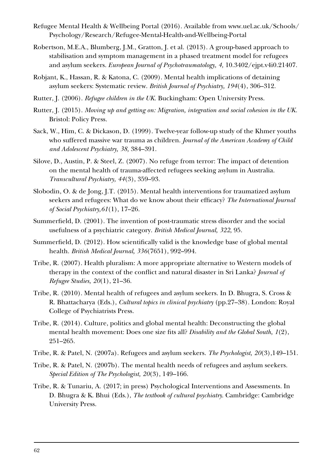- Refugee Mental Health & Wellbeing Portal (2016). Available from www.uel.ac.uk/Schools/ Psychology/Research/Refugee-Mental-Health-and-Wellbeing-Portal
- Robertson, M.E.A., Blumberg, J.M., Gratton, J. et al. (2013). A group-based approach to stabilisation and symptom management in a phased treatment model for refugees and asylum seekers. *European Journal of Psychotraumatology, 4,* 10.3402/ejpt.v4i0.21407.
- Robjant, K., Hassan, R. & Katona, C. (2009). Mental health implications of detaining asylum seekers: Systematic review. *British Journal of Psychiatry, 194*(4), 306–312.
- Rutter, J. (2006). *Refugee children in the UK.* Buckingham: Open University Press.
- Rutter, J. (2015). *Moving up and getting on: Migration, integration and social cohesion in the UK.*  Bristol: Policy Press.
- Sack, W., Him, C. & Dickason, D. (1999). Twelve-year follow-up study of the Khmer youths who suffered massive war trauma as children. *Journal of the American Academy of Child and Adolescent Psychiatry, 38,* 384–391.
- Silove, D., Austin, P. & Steel, Z. (2007). No refuge from terror: The impact of detention on the mental health of trauma-affected refugees seeking asylum in Australia. *Transcultural Psychiatry, 44*(3), 359–93.
- Slobodin, O. & de Jong, J.T. (2015). Mental health interventions for traumatized asylum seekers and refugees: What do we know about their efficacy? *The International Journal of Social Psychiatry,61*(1), 17–26.
- Summerfield, D. (2001). The invention of post-traumatic stress disorder and the social usefulness of a psychiatric category. *British Medical Journal, 322,* 95.
- Summerfield, D. (2012). How scientifically valid is the knowledge base of global mental health. *British Medical Journal, 336*(7651), 992–994.
- Tribe, R. (2007). Health pluralism: A more appropriate alternative to Western models of therapy in the context of the conflict and natural disaster in Sri Lanka? *Journal of Refugee Studies, 20*(1), 21–36.
- Tribe, R. (2010). Mental health of refugees and asylum seekers. In D. Bhugra, S. Cross & R. Bhattacharya (Eds.), *Cultural topics in clinical psychiatry* (pp.27–38)*.* London: Royal College of Psychiatrists Press.
- Tribe, R. (2014). Culture, politics and global mental health: Deconstructing the global mental health movement: Does one size fits all? *Disability and the Global South, 1*(2), 251–265.
- Tribe, R. & Patel, N. (2007a). Refugees and asylum seekers. *The Psychologist, 20*(3),149–151.
- Tribe, R. & Patel, N. (2007b). The mental health needs of refugees and asylum seekers. *Special Edition of The Psychologist, 20*(3), 149–166.
- Tribe, R. & Tunariu, A. (2017; in press) Psychological Interventions and Assessments. In D. Bhugra & K. Bhui (Eds.), *The textbook of cultural psychiatry*. Cambridge: Cambridge University Press.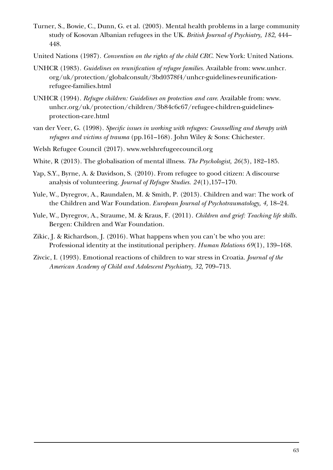- Turner, S., Bowie, C., Dunn, G. et al. (2003). Mental health problems in a large community study of Kosovan Albanian refugees in the UK. *British Journal of Psychiatry, 182,* 444– 448.
- United Nations (1987). *Convention on the rights of the child CRC.* New York: United Nations.
- UNHCR (1983). *Guidelines on reunification of refugee families.* Available from: www.unhcr. org/uk/protection/globalconsult/3bd0378f4/unhcr-guidelines-reunificationrefugee-families.html
- UNHCR (1994). *Refugee children: Guidelines on protection and care*. Available from: www. unhcr.org/uk/protection/children/3b84c6c67/refugee-children-guidelinesprotection-care.html
- van der Veer, G. (1998). *Specific issues in working with refugees: Counselling and therapy with refugees and victims of trauma* (pp.161–168)*.* John Wiley & Sons: Chichester.
- Welsh Refugee Council (2017). www.welshrefugeecouncil.org
- White, R (2013). The globalisation of mental illness. *The Psychologist, 26*(3), 182–185.
- Yap, S.Y., Byrne, A. & Davidson, S. (2010). From refugee to good citizen: A discourse analysis of volunteering. *Journal of Refugee Studies. 24*(1),157–170.
- Yule, W., Dyregrov, A., Raundalen, M. & Smith, P. (2013). Children and war: The work of the Children and War Foundation. *European Journal of Psychotraumatology, 4,* 18–24.
- Yule, W., Dyregrov, A., Straume, M. & Kraus, F. (2011). *Children and grief: Teaching life skills.*  Bergen: Children and War Foundation.
- Zikic, J. & Richardson, J. (2016). What happens when you can't be who you are: Professional identity at the institutional periphery. *Human Relations 69*(1), 139–168.
- Zivcic, I. (1993). Emotional reactions of children to war stress in Croatia. *Journal of the American Academy of Child and Adolescent Psychiatry, 32,* 709–713.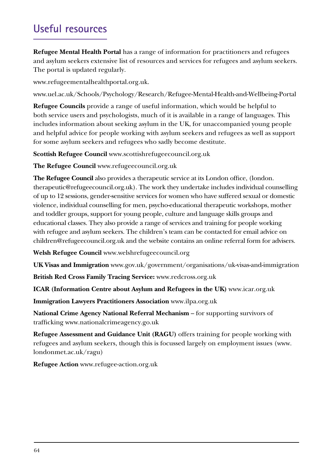# **Useful resources**

**Refugee Mental Health Portal** has a range of information for practitioners and refugees and asylum seekers extensive list of resources and services for refugees and asylum seekers. The portal is updated regularly.

www.refugeementalhealthportal.org.uk.

www.uel.ac.uk/Schools/Psychology/Research/Refugee-Mental-Health-and-Wellbeing-Portal

**Refugee Councils** provide a range of useful information, which would be helpful to both service users and psychologists, much of it is available in a range of languages. This includes information about seeking asylum in the UK, for unaccompanied young people and helpful advice for people working with asylum seekers and refugees as well as support for some asylum seekers and refugees who sadly become destitute.

**Scottish Refugee Council** www.scottishrefugeecouncil.org.uk

**The Refugee Council** www.refugeecouncil.org.uk

**The Refugee Council** also provides a therapeutic service at its London office, (london. therapeutic@refugeecouncil.org.uk). The work they undertake includes individual counselling of up to 12 sessions, gender-sensitive services for women who have suffered sexual or domestic violence, individual counselling for men, psycho-educational therapeutic workshops, mother and toddler groups, support for young people, culture and language skills groups and educational classes. They also provide a range of services and training for people working with refugee and asylum seekers. The children's team can be contacted for email advice on children@refugeecouncil.org.uk and the website contains an online referral form for advisers.

**Welsh Refugee Council** www.welshrefugeecouncil.org

**UK Visas and Immigration** www.gov.uk/government/organisations/uk-visas-and-immigration

**British Red Cross Family Tracing Service:** www.redcross.org.uk

**ICAR (Information Centre about Asylum and Refugees in the UK)** www.icar.org.uk

**Immigration Lawyers Practitioners Association** www.ilpa.org.uk

**National Crime Agency National Referral Mechanism** – for supporting survivors of trafficking www.nationalcrimeagency.go.uk

**Refugee Assessment and Guidance Unit (RAGU)** offers training for people working with refugees and asylum seekers, though this is focussed largely on employment issues (www. londonmet.ac.uk/ragu)

**Refugee Action** www.refugee-action.org.uk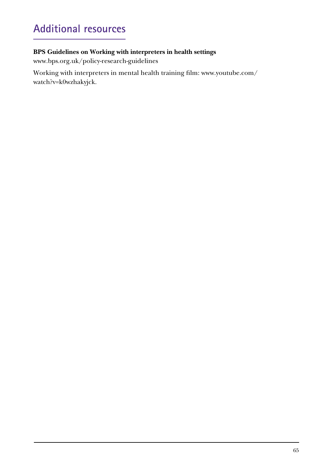# <span id="page-64-0"></span>**Additional resources**

### **BPS Guidelines on Working with interpreters in health settings**

www.bps.org.uk/policy-research-guidelines

Working with interpreters in mental health training film: www.youtube.com/ watch?v=k0wzhakyjck.